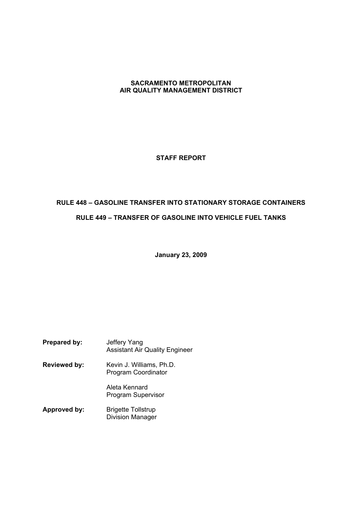## **SACRAMENTO METROPOLITAN AIR QUALITY MANAGEMENT DISTRICT**

## **STAFF REPORT**

# **RULE 448 GASOLINE TRANSFER INTO STATIONARY STORAGE CONTAINERS RULE 449 TRANSFER OF GASOLINE INTO VEHICLE FUEL TANKS**

**January 23, 2009**

| Prepared by:        | Jeffery Yang<br><b>Assistant Air Quality Engineer</b> |
|---------------------|-------------------------------------------------------|
| <b>Reviewed by:</b> | Kevin J. Williams, Ph.D.<br>Program Coordinator       |
|                     | Aleta Kennard<br>Program Supervisor                   |
| Approved by:        | <b>Brigette Tollstrup</b><br><b>Division Manager</b>  |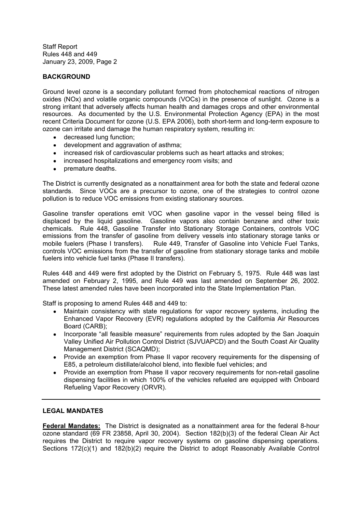## **BACKGROUND**

Ground level ozone is a secondary pollutant formed from photochemical reactions of nitrogen oxides (NOx) and volatile organic compounds (VOCs) in the presence of sunlight. Ozone is a strong irritant that adversely affects human health and damages crops and other environmental resources. As documented by the U.S. Environmental Protection Agency (EPA) in the most recent Criteria Document for ozone (U.S. EPA 2006), both short-term and long-term exposure to ozone can irritate and damage the human respiratory system, resulting in:

- decreased lung function;
- development and aggravation of asthma;
- increased risk of cardiovascular problems such as heart attacks and strokes;
- increased hospitalizations and emergency room visits; and
- $\bullet$ premature deaths.

The District is currently designated as a nonattainment area for both the state and federal ozone standards. Since VOCs are a precursor to ozone, one of the strategies to control ozone pollution is to reduce VOC emissions from existing stationary sources.

Gasoline transfer operations emit VOC when gasoline vapor in the vessel being filled is displaced by the liquid gasoline. Gasoline vapors also contain benzene and other toxic chemicals. Rule 448, Gasoline Transfer into Stationary Storage Containers, controls VOC emissions from the transfer of gasoline from delivery vessels into stationary storage tanks or mobile fuelers (Phase I transfers). Rule 449, Transfer of Gasoline into Vehicle Fuel Tanks, controls VOC emissions from the transfer of gasoline from stationary storage tanks and mobile fuelers into vehicle fuel tanks (Phase II transfers).

Rules 448 and 449 were first adopted by the District on February 5, 1975. Rule 448 was last amended on February 2, 1995, and Rule 449 was last amended on September 26, 2002. These latest amended rules have been incorporated into the State Implementation Plan.

Staff is proposing to amend Rules 448 and 449 to:

- $\blacksquare$ Maintain consistency with state regulations for vapor recovery systems, including the Enhanced Vapor Recovery (EVR) regulations adopted by the California Air Resources Board (CARB);
- Incorporate "all feasible measure" requirements from rules adopted by the San Joaquin Valley Unified Air Pollution Control District (SJVUAPCD) and the South Coast Air Quality Management District (SCAQMD);
- Provide an exemption from Phase II vapor recovery requirements for the dispensing of E85, a petroleum distillate/alcohol blend, into flexible fuel vehicles; and
- Provide an exemption from Phase II vapor recovery requirements for non-retail gasoline dispensing facilities in which 100% of the vehicles refueled are equipped with Onboard Refueling Vapor Recovery (ORVR).

#### **LEGAL MANDATES**

**Federal Mandates:** The District is designated as a nonattainment area for the federal 8-hour ozone standard (69 FR 23858, April 30, 2004). Section 182(b)(3) of the federal Clean Air Act requires the District to require vapor recovery systems on gasoline dispensing operations. Sections 172(c)(1) and 182(b)(2) require the District to adopt Reasonably Available Control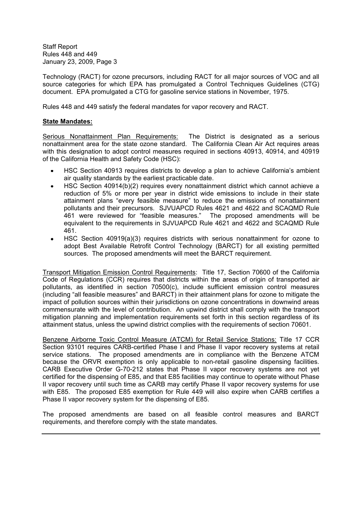Technology (RACT) for ozone precursors, including RACT for all major sources of VOC and all source categories for which EPA has promulgated a Control Techniques Guidelines (CTG) document. EPA promulgated a CTG for gasoline service stations in November, 1975.

Rules 448 and 449 satisfy the federal mandates for vapor recovery and RACT.

### **State Mandates:**

Serious Nonattainment Plan Requirements: The District is designated as a serious nonattainment area for the state ozone standard. The California Clean Air Act requires areas with this designation to adopt control measures required in sections 40913, 40914, and 40919 of the California Health and Safety Code (HSC):

- HSC Section 40913 requires districts to develop a plan to achieve California's ambient air quality standards by the earliest practicable date.
- HSC Section 40914(b)(2) requires every nonattainment district which cannot achieve a reduction of 5% or more per year in district wide emissions to include in their state attainment plans "every feasible measure" to reduce the emissions of nonattainment pollutants and their precursors. SJVUAPCD Rules 4621 and 4622 and SCAQMD Rule 461 were reviewed for "feasible measures." The proposed amendments will be equivalent to the requirements in SJVUAPCD Rule 4621 and 4622 and SCAQMD Rule 461.
- HSC Section 40919(a)(3) requires districts with serious nonattainment for ozone to adopt Best Available Retrofit Control Technology (BARCT) for all existing permitted sources. The proposed amendments will meet the BARCT requirement.

Transport Mitigation Emission Control Requirements: Title 17, Section 70600 of the California Code of Regulations (CCR) requires that districts within the areas of origin of transported air pollutants, as identified in section 70500(c), include sufficient emission control measures (including "all feasible measures" and BARCT) in their attainment plans for ozone to mitigate the impact of pollution sources within their jurisdictions on ozone concentrations in downwind areas commensurate with the level of contribution. An upwind district shall comply with the transport mitigation planning and implementation requirements set forth in this section regardless of its attainment status, unless the upwind district complies with the requirements of section 70601.

Benzene Airborne Toxic Control Measure (ATCM) for Retail Service Stations: Title 17 CCR Section 93101 requires CARB-certified Phase I and Phase II vapor recovery systems at retail service stations. The proposed amendments are in compliance with the Benzene ATCM because the ORVR exemption is only applicable to non-retail gasoline dispensing facilities. CARB Executive Order G-70-212 states that Phase II vapor recovery systems are not yet certified for the dispensing of E85, and that E85 facilities may continue to operate without Phase II vapor recovery until such time as CARB may certify Phase II vapor recovery systems for use with E85. The proposed E85 exemption for Rule 449 will also expire when CARB certifies a Phase II vapor recovery system for the dispensing of E85.

The proposed amendments are based on all feasible control measures and BARCT requirements, and therefore comply with the state mandates.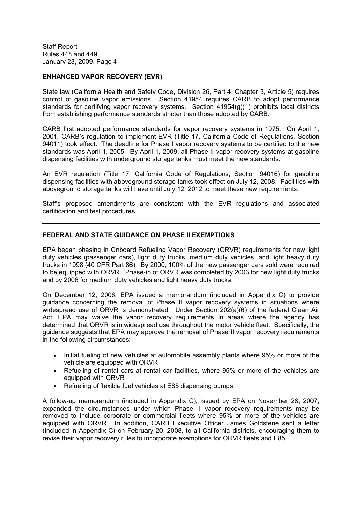### **ENHANCED VAPOR RECOVERY (EVR)**

State law (California Health and Safety Code, Division 26, Part 4, Chapter 3, Article 5) requires control of gasoline vapor emissions. Section 41954 requires CARB to adopt performance standards for certifying vapor recovery systems. Section 41954(g)(1) prohibits local districts from establishing performance standards stricter than those adopted by CARB.

CARB first adopted performance standards for vapor recovery systems in 1975. On April 1, 2001, CARB's regulation to implement EVR (Title 17, California Code of Regulations, Section 94011) took effect. The deadline for Phase I vapor recovery systems to be certified to the new standards was April 1, 2005. By April 1, 2009, all Phase II vapor recovery systems at gasoline dispensing facilities with underground storage tanks must meet the new standards.

An EVR regulation (Title 17, California Code of Regulations, Section 94016) for gasoline dispensing facilities with aboveground storage tanks took effect on July 12, 2008. Facilities with aboveground storage tanks will have until July 12, 2012 to meet these new requirements.

Staffs proposed amendments are consistent with the EVR regulations and associated certification and test procedures.

### **FEDERAL AND STATE GUIDANCE ON PHASE II EXEMPTIONS**

EPA began phasing in Onboard Refueling Vapor Recovery (ORVR) requirements for new light duty vehicles (passenger cars), light duty trucks, medium duty vehicles, and light heavy duty trucks in 1998 (40 CFR Part 86). By 2000, 100% of the new passenger cars sold were required to be equipped with ORVR. Phase-in of ORVR was completed by 2003 for new light duty trucks and by 2006 for medium duty vehicles and light heavy duty trucks.

On December 12, 2006, EPA issued a memorandum (included in Appendix C) to provide guidance concerning the removal of Phase II vapor recovery systems in situations where widespread use of ORVR is demonstrated. Under Section 202(a)(6) of the federal Clean Air Act, EPA may waive the vapor recovery requirements in areas where the agency has determined that ORVR is in widespread use throughout the motor vehicle fleet. Specifically, the guidance suggests that EPA may approve the removal of Phase II vapor recovery requirements in the following circumstances:

- Initial fueling of new vehicles at automobile assembly plants where 95% or more of the  $\bullet$ vehicle are equipped with ORVR
- Refueling of rental cars at rental car facilities, where 95% or more of the vehicles are equipped with ORVR
- Refueling of flexible fuel vehicles at E85 dispensing pumps

A follow-up memorandum (included in Appendix C), issued by EPA on November 28, 2007, expanded the circumstances under which Phase II vapor recovery requirements may be removed to include corporate or commercial fleets where 95% or more of the vehicles are equipped with ORVR. In addition, CARB Executive Officer James Goldstene sent a letter (included in Appendix C) on February 20, 2008, to all California districts, encouraging them to revise their vapor recovery rules to incorporate exemptions for ORVR fleets and E85.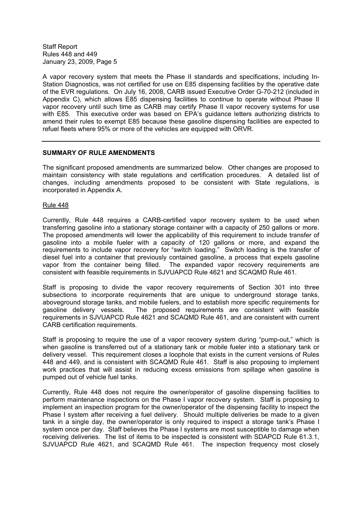A vapor recovery system that meets the Phase II standards and specifications, including In-Station Diagnostics, was not certified for use on E85 dispensing facilities by the operative date of the EVR regulations. On July 16, 2008, CARB issued Executive Order G-70-212 (included in Appendix C), which allows E85 dispensing facilities to continue to operate without Phase II vapor recovery until such time as CARB may certify Phase II vapor recovery systems for use with E85. This executive order was based on EPA's guidance letters authorizing districts to amend their rules to exempt E85 because these gasoline dispensing facilities are expected to refuel fleets where 95% or more of the vehicles are equipped with ORVR.

#### **SUMMARY OF RULE AMENDMENTS**

The significant proposed amendments are summarized below. Other changes are proposed to maintain consistency with state regulations and certification procedures. A detailed list of changes, including amendments proposed to be consistent with State regulations, is incorporated in Appendix A.

Rule 448

Currently, Rule 448 requires a CARB-certified vapor recovery system to be used when transferring gasoline into a stationary storage container with a capacity of 250 gallons or more. The proposed amendments will lower the applicability of this requirement to include transfer of gasoline into a mobile fueler with a capacity of 120 gallons or more, and expand the requirements to include vapor recovery for "switch loading." Switch loading is the transfer of diesel fuel into a container that previously contained gasoline, a process that expels gasoline vapor from the container being filled. The expanded vapor recovery requirements are consistent with feasible requirements in SJVUAPCD Rule 4621 and SCAQMD Rule 461.

Staff is proposing to divide the vapor recovery requirements of Section 301 into three subsections to incorporate requirements that are unique to underground storage tanks, aboveground storage tanks, and mobile fuelers, and to establish more specific requirements for gasoline delivery vessels. The proposed requirements are consistent with feasible requirements in SJVUAPCD Rule 4621 and SCAQMD Rule 461, and are consistent with current CARB certification requirements.

Staff is proposing to require the use of a vapor recovery system during "pump-out," which is when gasoline is transferred out of a stationary tank or mobile fueler into a stationary tank or delivery vessel. This requirement closes a loophole that exists in the current versions of Rules 448 and 449, and is consistent with SCAQMD Rule 461. Staff is also proposing to implement work practices that will assist in reducing excess emissions from spillage when gasoline is pumped out of vehicle fuel tanks.

Currently, Rule 448 does not require the owner/operator of gasoline dispensing facilities to perform maintenance inspections on the Phase I vapor recovery system. Staff is proposing to implement an inspection program for the owner/operator of the dispensing facility to inspect the Phase I system after receiving a fuel delivery. Should multiple deliveries be made to a given tank in a single day, the owner/operator is only required to inspect a storage tank's Phase I system once per day. Staff believes the Phase I systems are most susceptible to damage when receiving deliveries. The list of items to be inspected is consistent with SDAPCD Rule 61.3.1, SJVUAPCD Rule 4621, and SCAQMD Rule 461. The inspection frequency most closely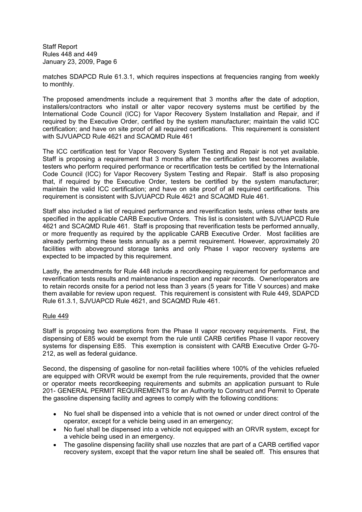matches SDAPCD Rule 61.3.1, which requires inspections at frequencies ranging from weekly to monthly.

The proposed amendments include a requirement that 3 months after the date of adoption, installers/contractors who install or alter vapor recovery systems must be certified by the International Code Council (ICC) for Vapor Recovery System Installation and Repair, and if required by the Executive Order, certified by the system manufacturer; maintain the valid ICC certification; and have on site proof of all required certifications. This requirement is consistent with SJVUAPCD Rule 4621 and SCAQMD Rule 461

The ICC certification test for Vapor Recovery System Testing and Repair is not yet available. Staff is proposing a requirement that 3 months after the certification test becomes available, testers who perform required performance or recertification tests be certified by the International Code Council (ICC) for Vapor Recovery System Testing and Repair. Staff is also proposing that, if required by the Executive Order, testers be certified by the system manufacturer; maintain the valid ICC certification; and have on site proof of all required certifications. This requirement is consistent with SJVUAPCD Rule 4621 and SCAQMD Rule 461.

Staff also included a list of required performance and reverification tests, unless other tests are specified in the applicable CARB Executive Orders. This list is consistent with SJVUAPCD Rule 4621 and SCAQMD Rule 461. Staff is proposing that reverification tests be performed annually, or more frequently as required by the applicable CARB Executive Order. Most facilities are already performing these tests annually as a permit requirement. However, approximately 20 facilities with aboveground storage tanks and only Phase I vapor recovery systems are expected to be impacted by this requirement.

Lastly, the amendments for Rule 448 include a recordkeeping requirement for performance and reverification tests results and maintenance inspection and repair records. Owner/operators are to retain records onsite for a period not less than 3 years (5 years for Title V sources) and make them available for review upon request. This requirement is consistent with Rule 449, SDAPCD Rule 61.3.1, SJVUAPCD Rule 4621, and SCAQMD Rule 461.

#### Rule 449

Staff is proposing two exemptions from the Phase II vapor recovery requirements. First, the dispensing of E85 would be exempt from the rule until CARB certifies Phase II vapor recovery systems for dispensing E85. This exemption is consistent with CARB Executive Order G-70- 212, as well as federal guidance.

Second, the dispensing of gasoline for non-retail facilities where 100% of the vehicles refueled are equipped with ORVR would be exempt from the rule requirements, provided that the owner or operator meets recordkeeping requirements and submits an application pursuant to Rule 201- GENERAL PERMIT REQUIREMENTS for an Authority to Construct and Permit to Operate the gasoline dispensing facility and agrees to comply with the following conditions:

- No fuel shall be dispensed into a vehicle that is not owned or under direct control of the operator, except for a vehicle being used in an emergency;
- No fuel shall be dispensed into a vehicle not equipped with an ORVR system, except for a vehicle being used in an emergency.
- The gasoline dispensing facility shall use nozzles that are part of a CARB certified vapor recovery system, except that the vapor return line shall be sealed off. This ensures that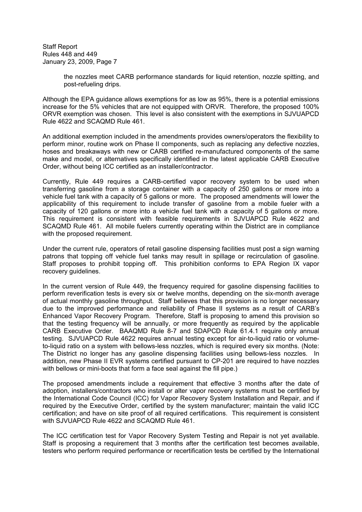> the nozzles meet CARB performance standards for liquid retention, nozzle spitting, and post-refueling drips.

Although the EPA guidance allows exemptions for as low as 95%, there is a potential emissions increase for the 5% vehicles that are not equipped with ORVR. Therefore, the proposed 100% ORVR exemption was chosen. This level is also consistent with the exemptions in SJVUAPCD Rule 4622 and SCAQMD Rule 461.

An additional exemption included in the amendments provides owners/operators the flexibility to perform minor, routine work on Phase II components, such as replacing any defective nozzles, hoses and breakaways with new or CARB certified re-manufactured components of the same make and model, or alternatives specifically identified in the latest applicable CARB Executive Order, without being ICC certified as an installer/contractor.

Currently, Rule 449 requires a CARB-certified vapor recovery system to be used when transferring gasoline from a storage container with a capacity of 250 gallons or more into a vehicle fuel tank with a capacity of 5 gallons or more. The proposed amendments will lower the applicability of this requirement to include transfer of gasoline from a mobile fueler with a capacity of 120 gallons or more into a vehicle fuel tank with a capacity of 5 gallons or more. This requirement is consistent with feasible requirements in SJVUAPCD Rule 4622 and SCAQMD Rule 461. All mobile fuelers currently operating within the District are in compliance with the proposed requirement.

Under the current rule, operators of retail gasoline dispensing facilities must post a sign warning patrons that topping off vehicle fuel tanks may result in spillage or recirculation of gasoline. Staff proposes to prohibit topping off. This prohibition conforms to EPA Region IX vapor recovery guidelines.

In the current version of Rule 449, the frequency required for gasoline dispensing facilities to perform reverification tests is every six or twelve months, depending on the six-month average of actual monthly gasoline throughput. Staff believes that this provision is no longer necessary due to the improved performance and reliability of Phase II systems as a result of CARB's Enhanced Vapor Recovery Program. Therefore, Staff is proposing to amend this provision so that the testing frequency will be annually, or more frequently as required by the applicable CARB Executive Order. BAAQMD Rule 8-7 and SDAPCD Rule 61.4.1 require only annual testing. SJVUAPCD Rule 4622 requires annual testing except for air-to-liquid ratio or volumeto-liquid ratio on a system with bellows-less nozzles, which is required every six months. (Note: The District no longer has any gasoline dispensing facilities using bellows-less nozzles. In addition, new Phase II EVR systems certified pursuant to CP-201 are required to have nozzles with bellows or mini-boots that form a face seal against the fill pipe.)

The proposed amendments include a requirement that effective 3 months after the date of adoption, installers/contractors who install or alter vapor recovery systems must be certified by the International Code Council (ICC) for Vapor Recovery System Installation and Repair, and if required by the Executive Order, certified by the system manufacturer; maintain the valid ICC certification; and have on site proof of all required certifications. This requirement is consistent with SJVUAPCD Rule 4622 and SCAQMD Rule 461.

The ICC certification test for Vapor Recovery System Testing and Repair is not yet available. Staff is proposing a requirement that 3 months after the certification test becomes available, testers who perform required performance or recertification tests be certified by the International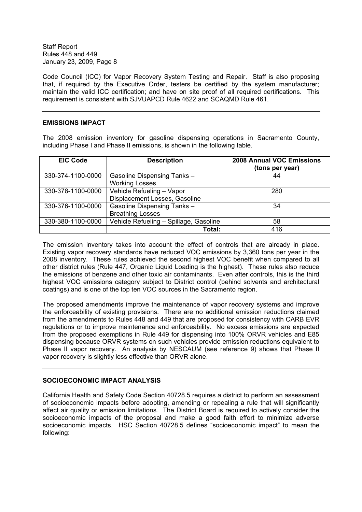Code Council (ICC) for Vapor Recovery System Testing and Repair. Staff is also proposing that, if required by the Executive Order, testers be certified by the system manufacturer; maintain the valid ICC certification; and have on site proof of all required certifications. This requirement is consistent with SJVUAPCD Rule 4622 and SCAQMD Rule 461.

#### **EMISSIONS IMPACT**

The 2008 emission inventory for gasoline dispensing operations in Sacramento County, including Phase I and Phase II emissions, is shown in the following table.

| <b>EIC Code</b>   | <b>Description</b>                                            | <b>2008 Annual VOC Emissions</b><br>(tons per year) |
|-------------------|---------------------------------------------------------------|-----------------------------------------------------|
| 330-374-1100-0000 | Gasoline Dispensing Tanks -<br><b>Working Losses</b>          | 44                                                  |
| 330-378-1100-0000 | Vehicle Refueling - Vapor<br>Displacement Losses, Gasoline    | 280                                                 |
| 330-376-1100-0000 | <b>Gasoline Dispensing Tanks -</b><br><b>Breathing Losses</b> | 34                                                  |
| 330-380-1100-0000 | Vehicle Refueling - Spillage, Gasoline                        | 58                                                  |
|                   | Total:                                                        | 416                                                 |

The emission inventory takes into account the effect of controls that are already in place. Existing vapor recovery standards have reduced VOC emissions by 3,360 tons per year in the 2008 inventory. These rules achieved the second highest VOC benefit when compared to all other district rules (Rule 447, Organic Liquid Loading is the highest). These rules also reduce the emissions of benzene and other toxic air contaminants. Even after controls, this is the third highest VOC emissions category subject to District control (behind solvents and architectural coatings) and is one of the top ten VOC sources in the Sacramento region.

The proposed amendments improve the maintenance of vapor recovery systems and improve the enforceability of existing provisions. There are no additional emission reductions claimed from the amendments to Rules 448 and 449 that are proposed for consistency with CARB EVR regulations or to improve maintenance and enforceability. No excess emissions are expected from the proposed exemptions in Rule 449 for dispensing into 100% ORVR vehicles and E85 dispensing because ORVR systems on such vehicles provide emission reductions equivalent to Phase II vapor recovery. An analysis by NESCAUM (see reference 9) shows that Phase II vapor recovery is slightly less effective than ORVR alone.

#### **SOCIOECONOMIC IMPACT ANALYSIS**

California Health and Safety Code Section 40728.5 requires a district to perform an assessment of socioeconomic impacts before adopting, amending or repealing a rule that will significantly affect air quality or emission limitations. The District Board is required to actively consider the socioeconomic impacts of the proposal and make a good faith effort to minimize adverse socioeconomic impacts. HSC Section 40728.5 defines "socioeconomic impact" to mean the following: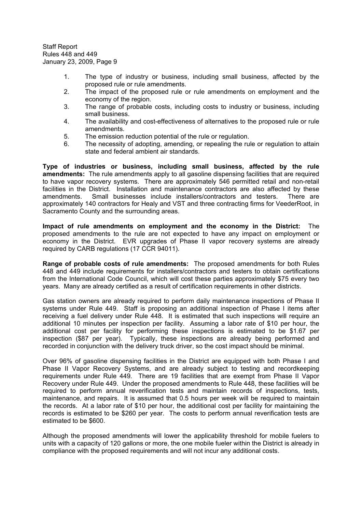- 1. The type of industry or business, including small business, affected by the proposed rule or rule amendments.
- 2. The impact of the proposed rule or rule amendments on employment and the economy of the region.
- 3. The range of probable costs, including costs to industry or business, including small business.
- 4. The availability and cost-effectiveness of alternatives to the proposed rule or rule amendments.
- 5. The emission reduction potential of the rule or regulation.
- 6. The necessity of adopting, amending, or repealing the rule or regulation to attain state and federal ambient air standards.

**Type of industries or business, including small business, affected by the rule amendments:** The rule amendments apply to all gasoline dispensing facilities that are required to have vapor recovery systems. There are approximately 546 permitted retail and non-retail facilities in the District. Installation and maintenance contractors are also affected by these amendments. Small businesses include installers/contractors and testers. There are approximately 140 contractors for Healy and VST and three contracting firms for VeederRoot, in Sacramento County and the surrounding areas.

**Impact of rule amendments on employment and the economy in the District:** The proposed amendments to the rule are not expected to have any impact on employment or economy in the District. EVR upgrades of Phase II vapor recovery systems are already required by CARB regulations (17 CCR 94011).

**Range of probable costs of rule amendments:** The proposed amendments for both Rules 448 and 449 include requirements for installers/contractors and testers to obtain certifications from the International Code Council, which will cost these parties approximately \$75 every two years. Many are already certified as a result of certification requirements in other districts.

Gas station owners are already required to perform daily maintenance inspections of Phase II systems under Rule 449. Staff is proposing an additional inspection of Phase I items after receiving a fuel delivery under Rule 448. It is estimated that such inspections will require an additional 10 minutes per inspection per facility. Assuming a labor rate of \$10 per hour, the additional cost per facility for performing these inspections is estimated to be \$1.67 per inspection (\$87 per year). Typically, these inspections are already being performed and recorded in conjunction with the delivery truck driver, so the cost impact should be minimal.

Over 96% of gasoline dispensing facilities in the District are equipped with both Phase I and Phase II Vapor Recovery Systems, and are already subject to testing and recordkeeping requirements under Rule 449. There are 19 facilities that are exempt from Phase II Vapor Recovery under Rule 449. Under the proposed amendments to Rule 448, these facilities will be required to perform annual reverification tests and maintain records of inspections, tests, maintenance, and repairs. It is assumed that 0.5 hours per week will be required to maintain the records. At a labor rate of \$10 per hour, the additional cost per facility for maintaining the records is estimated to be \$260 per year. The costs to perform annual reverification tests are estimated to be \$600.

Although the proposed amendments will lower the applicability threshold for mobile fuelers to units with a capacity of 120 gallons or more, the one mobile fueler within the District is already in compliance with the proposed requirements and will not incur any additional costs.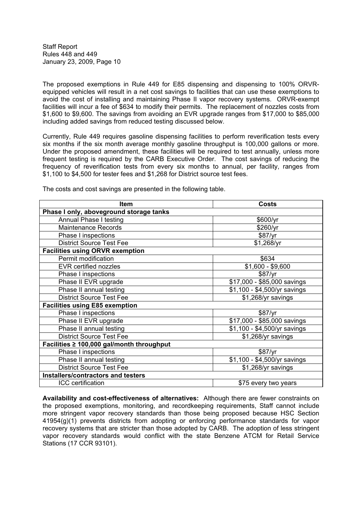The proposed exemptions in Rule 449 for E85 dispensing and dispensing to 100% ORVRequipped vehicles will result in a net cost savings to facilities that can use these exemptions to avoid the cost of installing and maintaining Phase II vapor recovery systems. ORVR-exempt facilities will incur a fee of \$634 to modify their permits. The replacement of nozzles costs from \$1,600 to \$9,600. The savings from avoiding an EVR upgrade ranges from \$17,000 to \$85,000 including added savings from reduced testing discussed below.

Currently, Rule 449 requires gasoline dispensing facilities to perform reverification tests every six months if the six month average monthly gasoline throughput is 100,000 gallons or more. Under the proposed amendment, these facilities will be required to test annually, unless more frequent testing is required by the CARB Executive Order. The cost savings of reducing the frequency of reverification tests from every six months to annual, per facility, ranges from \$1,100 to \$4,500 for tester fees and \$1,268 for District source test fees.

| <b>Item</b>                               | Costs                                   |  |
|-------------------------------------------|-----------------------------------------|--|
| Phase I only, aboveground storage tanks   |                                         |  |
| <b>Annual Phase I testing</b>             | \$600/yr                                |  |
| <b>Maintenance Records</b>                | \$260/yr                                |  |
| Phase I inspections                       | \$87/yr                                 |  |
| <b>District Source Test Fee</b>           | \$1,268/yr                              |  |
| <b>Facilities using ORVR exemption</b>    |                                         |  |
| Permit modification                       | \$634                                   |  |
| <b>EVR certified nozzles</b>              | $$1,600 - $9,600$                       |  |
| Phase I inspections                       | \$87/yr                                 |  |
| Phase II EVR upgrade                      | \$17,000 - \$85,000 savings             |  |
| Phase II annual testing                   | \$1,100 - \$4,500/yr savings            |  |
| <b>District Source Test Fee</b>           | \$1,268/yr savings                      |  |
| <b>Facilities using E85 exemption</b>     |                                         |  |
| Phase I inspections                       | \$87/yr                                 |  |
| Phase II EVR upgrade                      | $\overline{$17,000}$ - \$85,000 savings |  |
| Phase II annual testing                   | \$1,100 - \$4,500/yr savings            |  |
| <b>District Source Test Fee</b>           | \$1,268/yr savings                      |  |
| Facilities ≥ 100,000 gal/month throughput |                                         |  |
| Phase I inspections                       | \$87/yr                                 |  |
| Phase II annual testing                   | \$1,100 - \$4,500/yr savings            |  |
| <b>District Source Test Fee</b>           | \$1,268/yr savings                      |  |
| Installers/contractors and testers        |                                         |  |
| ICC certification                         | \$75 every two years                    |  |

The costs and cost savings are presented in the following table.

**Availability and cost-effectiveness of alternatives:** Although there are fewer constraints on the proposed exemptions, monitoring, and recordkeeping requirements, Staff cannot include more stringent vapor recovery standards than those being proposed because HSC Section 41954(g)(1) prevents districts from adopting or enforcing performance standards for vapor recovery systems that are stricter than those adopted by CARB. The adoption of less stringent vapor recovery standards would conflict with the state Benzene ATCM for Retail Service Stations (17 CCR 93101).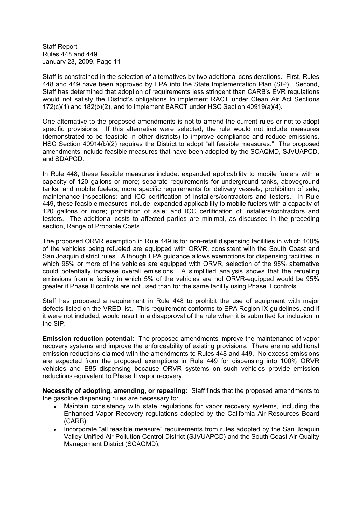Staff is constrained in the selection of alternatives by two additional considerations. First, Rules 448 and 449 have been approved by EPA into the State Implementation Plan (SIP). Second, Staff has determined that adoption of requirements less stringent than CARB's EVR regulations would not satisfy the District's obligations to implement RACT under Clean Air Act Sections  $172(c)(1)$  and  $182(b)(2)$ , and to implement BARCT under HSC Section  $40919(a)(4)$ .

One alternative to the proposed amendments is not to amend the current rules or not to adopt specific provisions. If this alternative were selected, the rule would not include measures (demonstrated to be feasible in other districts) to improve compliance and reduce emissions. HSC Section 40914(b)(2) requires the District to adopt "all feasible measures." The proposed amendments include feasible measures that have been adopted by the SCAQMD, SJVUAPCD, and SDAPCD.

In Rule 448, these feasible measures include: expanded applicability to mobile fuelers with a capacity of 120 gallons or more; separate requirements for underground tanks, aboveground tanks, and mobile fuelers; more specific requirements for delivery vessels; prohibition of sale; maintenance inspections; and ICC certification of installers/contractors and testers. In Rule 449, these feasible measures include: expanded applicability to mobile fuelers with a capacity of 120 gallons or more; prohibition of sale; and ICC certification of installers/contractors and testers. The additional costs to affected parties are minimal, as discussed in the preceding section, Range of Probable Costs.

The proposed ORVR exemption in Rule 449 is for non-retail dispensing facilities in which 100% of the vehicles being refueled are equipped with ORVR, consistent with the South Coast and San Joaquin district rules. Although EPA guidance allows exemptions for dispensing facilities in which 95% or more of the vehicles are equipped with ORVR, selection of the 95% alternative could potentially increase overall emissions. A simplified analysis shows that the refueling emissions from a facility in which 5% of the vehicles are not ORVR-equipped would be 95% greater if Phase II controls are not used than for the same facility using Phase II controls.

Staff has proposed a requirement in Rule 448 to prohibit the use of equipment with major defects listed on the VRED list. This requirement conforms to EPA Region IX guidelines, and if it were not included, would result in a disapproval of the rule when it is submitted for inclusion in the SIP.

**Emission reduction potential:** The proposed amendments improve the maintenance of vapor recovery systems and improve the enforceability of existing provisions. There are no additional emission reductions claimed with the amendments to Rules 448 and 449. No excess emissions are expected from the proposed exemptions in Rule 449 for dispensing into 100% ORVR vehicles and E85 dispensing because ORVR systems on such vehicles provide emission reductions equivalent to Phase II vapor recovery

**Necessity of adopting, amending, or repealing:** Staff finds that the proposed amendments to the gasoline dispensing rules are necessary to:

- Maintain consistency with state regulations for vapor recovery systems, including the  $\bullet$ Enhanced Vapor Recovery regulations adopted by the California Air Resources Board (CARB);
- Incorporate "all feasible measure" requirements from rules adopted by the San Joaquin Valley Unified Air Pollution Control District (SJVUAPCD) and the South Coast Air Quality Management District (SCAQMD);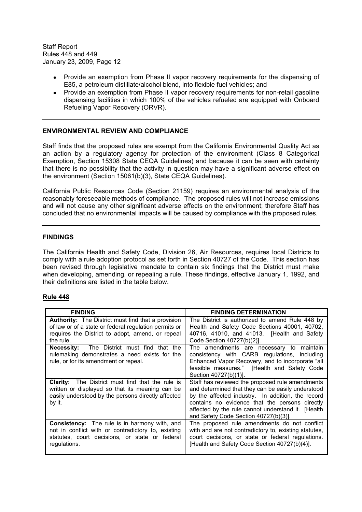- Provide an exemption from Phase II vapor recovery requirements for the dispensing of E85, a petroleum distillate/alcohol blend, into flexible fuel vehicles; and
- Provide an exemption from Phase II vapor recovery requirements for non-retail gasoline dispensing facilities in which 100% of the vehicles refueled are equipped with Onboard Refueling Vapor Recovery (ORVR).

### **ENVIRONMENTAL REVIEW AND COMPLIANCE**

Staff finds that the proposed rules are exempt from the California Environmental Quality Act as an action by a regulatory agency for protection of the environment (Class 8 Categorical Exemption, Section 15308 State CEQA Guidelines) and because it can be seen with certainty that there is no possibility that the activity in question may have a significant adverse effect on the environment (Section 15061(b)(3), State CEQA Guidelines).

California Public Resources Code (Section 21159) requires an environmental analysis of the reasonably foreseeable methods of compliance. The proposed rules will not increase emissions and will not cause any other significant adverse effects on the environment; therefore Staff has concluded that no environmental impacts will be caused by compliance with the proposed rules.

### **FINDINGS**

The California Health and Safety Code, Division 26, Air Resources, requires local Districts to comply with a rule adoption protocol as set forth in Section 40727 of the Code. This section has been revised through legislative mandate to contain six findings that the District must make when developing, amending, or repealing a rule. These findings, effective January 1, 1992, and their definitions are listed in the table below.

#### **Rule 448**

| <b>FINDING</b>                                                                                                                                                                      | <b>FINDING DETERMINATION</b>                                                                                                                                                                                                                                                                              |
|-------------------------------------------------------------------------------------------------------------------------------------------------------------------------------------|-----------------------------------------------------------------------------------------------------------------------------------------------------------------------------------------------------------------------------------------------------------------------------------------------------------|
| <b>Authority:</b> The District must find that a provision<br>of law or of a state or federal regulation permits or<br>requires the District to adopt, amend, or repeal<br>the rule. | The District is authorized to amend Rule 448 by<br>Health and Safety Code Sections 40001, 40702,<br>40716, 41010, and 41013. [Health and Safety<br>Code Section 40727(b)(2)].                                                                                                                             |
| <b>Necessity:</b> The District must find that the<br>rulemaking demonstrates a need exists for the<br>rule, or for its amendment or repeal.                                         | The amendments are necessary to maintain<br>consistency with CARB regulations, including<br>Enhanced Vapor Recovery, and to incorporate "all<br>feasible measures." [Health and Safety Code<br>Section 40727(b)(1)].                                                                                      |
| <b>Clarity:</b> The District must find that the rule is<br>written or displayed so that its meaning can be<br>easily understood by the persons directly affected<br>by it.          | Staff has reviewed the proposed rule amendments<br>and determined that they can be easily understood<br>by the affected industry. In addition, the record<br>contains no evidence that the persons directly<br>affected by the rule cannot understand it. [Health<br>and Safety Code Section 40727(b)(3). |
| <b>Consistency:</b> The rule is in harmony with, and<br>not in conflict with or contradictory to, existing<br>statutes, court decisions, or state or federal<br>regulations.        | The proposed rule amendments do not conflict<br>with and are not contradictory to, existing statutes,<br>court decisions, or state or federal regulations.<br>[Health and Safety Code Section 40727(b)(4)].                                                                                               |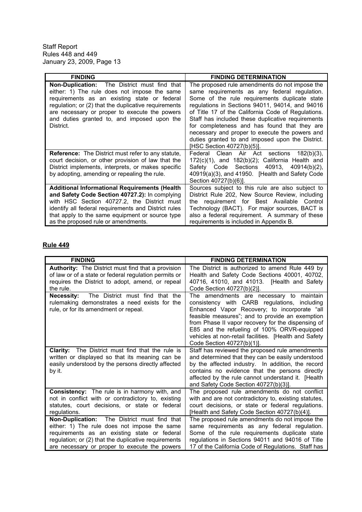| <b>FINDING</b>                                                                                                                                                                                                                                                                                                           | <b>FINDING DETERMINATION</b>                                                                                                                                                                                                                                                                                                                                                                                                                                                                      |
|--------------------------------------------------------------------------------------------------------------------------------------------------------------------------------------------------------------------------------------------------------------------------------------------------------------------------|---------------------------------------------------------------------------------------------------------------------------------------------------------------------------------------------------------------------------------------------------------------------------------------------------------------------------------------------------------------------------------------------------------------------------------------------------------------------------------------------------|
| <b>Non-Duplication:</b> The District must find that<br>either: 1) The rule does not impose the same<br>requirements as an existing state or federal<br>regulation; or (2) that the duplicative requirements<br>are necessary or proper to execute the powers<br>and duties granted to, and imposed upon the<br>District. | The proposed rule amendments do not impose the<br>same requirements as any federal regulation.<br>Some of the rule requirements duplicate state<br>regulations in Sections 94011, 94014, and 94016<br>of Title 17 of the California Code of Regulations.<br>Staff has included these duplicative requirements<br>for completeness and has found that they are<br>necessary and proper to execute the powers and<br>duties granted to and imposed upon the District.<br>[HSC Section 40727(b)(5)]. |
| <b>Reference:</b> The District must refer to any statute,<br>court decision, or other provision of law that the<br>District implements, interprets, or makes specific<br>by adopting, amending or repealing the rule.                                                                                                    | Federal<br>Clean Air Act<br>sections<br>$182(b)(3)$ ,<br>$172(c)(1)$ , and $182(b)(2)$ ; California Health and<br>Safety Code Sections 40913,<br>$40914(b)(2)$ ,<br>40919(a)(3), and 41950. [Health and Safety Code<br>Section 40727(b)(6)].                                                                                                                                                                                                                                                      |
| <b>Additional Informational Requirements (Health</b><br>and Safety Code Section 40727.2): In complying<br>with HSC Section 40727.2, the District must<br>identify all federal requirements and District rules<br>that apply to the same equipment or source type<br>as the proposed rule or amendments.                  | Sources subject to this rule are also subject to<br>District Rule 202, New Source Review, including<br>the requirement for Best Available Control<br>Technology (BACT). For major sources, BACT is<br>also a federal requirement. A summary of these<br>requirements is included in Appendix B.                                                                                                                                                                                                   |

## **Rule 449**

| <b>FINDING</b>                                                                                                                                                                | <b>FINDING DETERMINATION</b>                                                                                                                                                                                                                                                                                                                                                            |
|-------------------------------------------------------------------------------------------------------------------------------------------------------------------------------|-----------------------------------------------------------------------------------------------------------------------------------------------------------------------------------------------------------------------------------------------------------------------------------------------------------------------------------------------------------------------------------------|
| Authority: The District must find that a provision                                                                                                                            | The District is authorized to amend Rule 449 by                                                                                                                                                                                                                                                                                                                                         |
| of law or of a state or federal regulation permits or                                                                                                                         | Health and Safety Code Sections 40001, 40702,                                                                                                                                                                                                                                                                                                                                           |
| requires the District to adopt, amend, or repeal                                                                                                                              | 40716, 41010, and 41013. [Health and Safety                                                                                                                                                                                                                                                                                                                                             |
| the rule.                                                                                                                                                                     | Code Section 40727(b)(2)].                                                                                                                                                                                                                                                                                                                                                              |
| The District must find that the<br>Necessity:<br>rulemaking demonstrates a need exists for the<br>rule, or for its amendment or repeal.                                       | The amendments are necessary to maintain<br>consistency with CARB regulations, including<br>Enhanced Vapor Recovery; to incorporate "all<br>feasible measures"; and to provide an exemption<br>from Phase II vapor recovery for the dispensing of<br>E85 and the refueling of 100% ORVR-equipped<br>vehicles at non-retail facilities. [Health and Safety<br>Code Section 40727(b)(1)]. |
| The District must find that the rule is<br><b>Clarity:</b><br>written or displayed so that its meaning can be<br>easily understood by the persons directly affected<br>by it. | Staff has reviewed the proposed rule amendments<br>and determined that they can be easily understood<br>by the affected industry. In addition, the record<br>contains no evidence that the persons directly<br>affected by the rule cannot understand it. [Health]<br>and Safety Code Section 40727(b)(3)].                                                                             |
| <b>Consistency:</b> The rule is in harmony with, and                                                                                                                          | The proposed rule amendments do not conflict                                                                                                                                                                                                                                                                                                                                            |
| not in conflict with or contradictory to, existing                                                                                                                            | with and are not contradictory to, existing statutes,                                                                                                                                                                                                                                                                                                                                   |
| statutes, court decisions, or state or federal                                                                                                                                | court decisions, or state or federal regulations.                                                                                                                                                                                                                                                                                                                                       |
| regulations.                                                                                                                                                                  | [Health and Safety Code Section 40727(b)(4)].                                                                                                                                                                                                                                                                                                                                           |
| <b>Non-Duplication:</b> The District must find that                                                                                                                           | The proposed rule amendments do not impose the                                                                                                                                                                                                                                                                                                                                          |
| either: 1) The rule does not impose the same                                                                                                                                  | same requirements as any federal regulation.                                                                                                                                                                                                                                                                                                                                            |
| requirements as an existing state or federal                                                                                                                                  | Some of the rule requirements duplicate state                                                                                                                                                                                                                                                                                                                                           |
| regulation; or (2) that the duplicative requirements                                                                                                                          | regulations in Sections 94011 and 94016 of Title                                                                                                                                                                                                                                                                                                                                        |
| are necessary or proper to execute the powers                                                                                                                                 | 17 of the California Code of Regulations. Staff has                                                                                                                                                                                                                                                                                                                                     |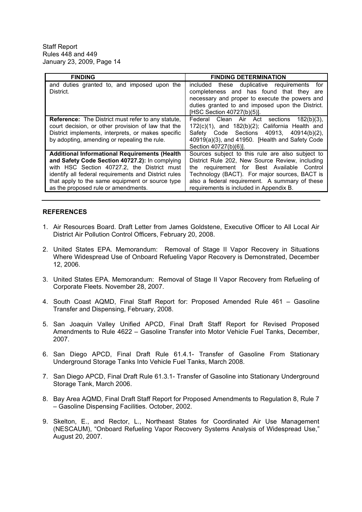| <b>FINDING</b>                                                                                                                                                                                                                                                                                          | <b>FINDING DETERMINATION</b>                                                                                                                                                                                                                                                                       |
|---------------------------------------------------------------------------------------------------------------------------------------------------------------------------------------------------------------------------------------------------------------------------------------------------------|----------------------------------------------------------------------------------------------------------------------------------------------------------------------------------------------------------------------------------------------------------------------------------------------------|
| and duties granted to, and imposed upon the<br>District.                                                                                                                                                                                                                                                | included these duplicative requirements<br>for<br>completeness and has found that they are<br>necessary and proper to execute the powers and<br>duties granted to and imposed upon the District.<br>[HSC Section 40727(b)(5)].                                                                     |
| <b>Reference:</b> The District must refer to any statute,<br>court decision, or other provision of law that the<br>District implements, interprets, or makes specific<br>by adopting, amending or repealing the rule.                                                                                   | Federal Clean Air Act<br>sections<br>$182(b)(3)$ ,<br>$172(c)(1)$ , and $182(b)(2)$ ; California Health and<br>Safety Code Sections 40913, 40914(b)(2),<br>40919(a)(3), and 41950. [Health and Safety Code<br>Section 40727(b)(6)].                                                                |
| <b>Additional Informational Requirements (Health</b><br>and Safety Code Section 40727.2): In complying<br>with HSC Section 40727.2, the District must<br>identify all federal requirements and District rules<br>that apply to the same equipment or source type<br>as the proposed rule or amendments. | Sources subject to this rule are also subject to<br>District Rule 202, New Source Review, including<br>the requirement for Best Available<br>Control<br>Technology (BACT). For major sources, BACT is<br>also a federal requirement. A summary of these<br>requirements is included in Appendix B. |

#### **REFERENCES**

- 1. Air Resources Board. Draft Letter from James Goldstene, Executive Officer to All Local Air District Air Pollution Control Officers, February 20, 2008.
- 2. United States EPA. Memorandum: Removal of Stage II Vapor Recovery in Situations Where Widespread Use of Onboard Refueling Vapor Recovery is Demonstrated, December 12, 2006.
- 3. United States EPA. Memorandum: Removal of Stage II Vapor Recovery from Refueling of Corporate Fleets. November 28, 2007.
- 4. South Coast AQMD, Final Staff Report for: Proposed Amended Rule 461 Gasoline Transfer and Dispensing, February, 2008.
- 5. San Joaquin Valley Unified APCD, Final Draft Staff Report for Revised Proposed Amendments to Rule 4622 - Gasoline Transfer into Motor Vehicle Fuel Tanks, December, 2007.
- 6. San Diego APCD, Final Draft Rule 61.4.1- Transfer of Gasoline From Stationary Underground Storage Tanks Into Vehicle Fuel Tanks, March 2008.
- 7. San Diego APCD, Final Draft Rule 61.3.1- Transfer of Gasoline into Stationary Underground Storage Tank, March 2006.
- 8. Bay Area AQMD, Final Draft Staff Report for Proposed Amendments to Regulation 8, Rule 7 Gasoline Dispensing Facilities. October, 2002.
- 9. Skelton, E., and Rector, L., Northeast States for Coordinated Air Use Management (NESCAUM), "Onboard Refueling Vapor Recovery Systems Analysis of Widespread Use," August 20, 2007.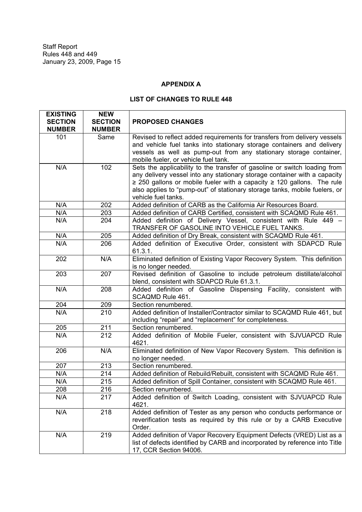## **APPENDIX A**

## **LIST OF CHANGES TO RULE 448**

| <b>EXISTING</b><br><b>SECTION</b> | <b>NEW</b><br><b>SECTION</b> | <b>PROPOSED CHANGES</b>                                                                                         |
|-----------------------------------|------------------------------|-----------------------------------------------------------------------------------------------------------------|
| <b>NUMBER</b>                     | <b>NUMBER</b>                |                                                                                                                 |
| 101                               | Same                         | Revised to reflect added requirements for transfers from delivery vessels                                       |
|                                   |                              | and vehicle fuel tanks into stationary storage containers and delivery                                          |
|                                   |                              | vessels as well as pump-out from any stationary storage container,                                              |
|                                   |                              | mobile fueler, or vehicle fuel tank.                                                                            |
| N/A                               | 102                          | Sets the applicability to the transfer of gasoline or switch loading from                                       |
|                                   |                              | any delivery vessel into any stationary storage container with a capacity                                       |
|                                   |                              | $\geq$ 250 gallons or mobile fueler with a capacity $\geq$ 120 gallons. The rule                                |
|                                   |                              | also applies to "pump-out" of stationary storage tanks, mobile fuelers, or                                      |
|                                   |                              | vehicle fuel tanks.                                                                                             |
| N/A                               | 202                          | Added definition of CARB as the California Air Resources Board.                                                 |
| N/A                               | 203                          | Added definition of CARB Certified, consistent with SCAQMD Rule 461.                                            |
| N/A                               | 204                          | Added definition of Delivery Vessel, consistent with Rule 449 -                                                 |
|                                   |                              | TRANSFER OF GASOLINE INTO VEHICLE FUEL TANKS.                                                                   |
| N/A                               | 205                          | Added definition of Dry Break, consistent with SCAQMD Rule 461.                                                 |
| N/A                               | 206                          | Added definition of Executive Order, consistent with SDAPCD Rule                                                |
|                                   |                              | 61.3.1.                                                                                                         |
| 202                               | N/A                          | Eliminated definition of Existing Vapor Recovery System. This definition                                        |
|                                   |                              | is no longer needed.                                                                                            |
| 203                               | 207                          | Revised definition of Gasoline to include petroleum distillate/alcohol                                          |
| N/A                               | 208                          | blend, consistent with SDAPCD Rule 61.3.1.<br>Added definition of Gasoline Dispensing Facility, consistent with |
|                                   |                              | SCAQMD Rule 461.                                                                                                |
| 204                               | 209                          | Section renumbered.                                                                                             |
| N/A                               | 210                          | Added definition of Installer/Contractor similar to SCAQMD Rule 461, but                                        |
|                                   |                              | including "repair" and "replacement" for completeness.                                                          |
| 205                               | 211                          | Section renumbered.                                                                                             |
| N/A                               | 212                          | Added definition of Mobile Fueler, consistent with SJVUAPCD Rule                                                |
|                                   |                              | 4621.                                                                                                           |
| 206                               | N/A                          | Eliminated definition of New Vapor Recovery System. This definition is                                          |
|                                   |                              | no longer needed.                                                                                               |
| 207                               | 213                          | Section renumbered.                                                                                             |
| N/A                               | 214                          | Added definition of Rebuild/Rebuilt, consistent with SCAQMD Rule 461.                                           |
| N/A                               | 215                          | Added definition of Spill Container, consistent with SCAQMD Rule 461.                                           |
| 208                               | 216                          | Section renumbered.                                                                                             |
| N/A                               | 217                          | Added definition of Switch Loading, consistent with SJVUAPCD Rule                                               |
|                                   |                              | 4621.                                                                                                           |
| N/A                               | 218                          | Added definition of Tester as any person who conducts performance or                                            |
|                                   |                              | reverification tests as required by this rule or by a CARB Executive                                            |
|                                   |                              | Order.                                                                                                          |
| N/A                               | 219                          | Added definition of Vapor Recovery Equipment Defects (VRED) List as a                                           |
|                                   |                              | list of defects identified by CARB and incorporated by reference into Title                                     |
|                                   | 17, CCR Section 94006.       |                                                                                                                 |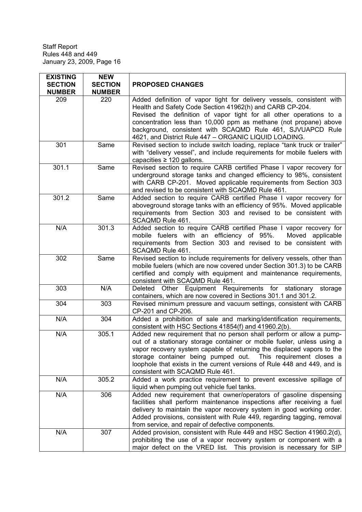| <b>EXISTING</b><br><b>SECTION</b><br><b>NUMBER</b> | <b>NEW</b><br><b>SECTION</b><br><b>NUMBER</b> | <b>PROPOSED CHANGES</b>                                                                                                                                                                                                                                                                                                                                                                                  |
|----------------------------------------------------|-----------------------------------------------|----------------------------------------------------------------------------------------------------------------------------------------------------------------------------------------------------------------------------------------------------------------------------------------------------------------------------------------------------------------------------------------------------------|
| 209                                                | 220                                           | Added definition of vapor tight for delivery vessels, consistent with<br>Health and Safety Code Section 41962(h) and CARB CP-204.<br>Revised the definition of vapor tight for all other operations to a<br>concentration less than 10,000 ppm as methane (not propane) above<br>background, consistent with SCAQMD Rule 461, SJVUAPCD Rule<br>4621, and District Rule 447 - ORGANIC LIQUID LOADING.     |
| 301                                                | Same                                          | Revised section to include switch loading, replace "tank truck or trailer"<br>with "delivery vessel", and include requirements for mobile fuelers with<br>capacities $\geq$ 120 gallons.                                                                                                                                                                                                                 |
| 301.1                                              | Same                                          | Revised section to require CARB certified Phase I vapor recovery for<br>underground storage tanks and changed efficiency to 98%, consistent<br>with CARB CP-201. Moved applicable requirements from Section 303<br>and revised to be consistent with SCAQMD Rule 461.                                                                                                                                    |
| 301.2                                              | Same                                          | Added section to require CARB certified Phase I vapor recovery for<br>aboveground storage tanks with an efficiency of 95%. Moved applicable<br>requirements from Section 303 and revised to be consistent with<br>SCAQMD Rule 461.                                                                                                                                                                       |
| N/A                                                | 301.3                                         | Added section to require CARB certified Phase I vapor recovery for<br>mobile fuelers with an efficiency of 95%.<br>Moved applicable<br>requirements from Section 303 and revised to be consistent with<br>SCAQMD Rule 461.                                                                                                                                                                               |
| 302                                                | Same                                          | Revised section to include requirements for delivery vessels, other than<br>mobile fuelers (which are now covered under Section 301.3) to be CARB<br>certified and comply with equipment and maintenance requirements,<br>consistent with SCAQMD Rule 461.                                                                                                                                               |
| 303                                                | N/A                                           | Deleted Other Equipment Requirements for stationary<br>storage<br>containers, which are now covered in Sections 301.1 and 301.2.                                                                                                                                                                                                                                                                         |
| 304                                                | 303                                           | Revised minimum pressure and vacuum settings, consistent with CARB<br>CP-201 and CP-206.                                                                                                                                                                                                                                                                                                                 |
| N/A                                                | 304                                           | Added a prohibition of sale and marking/identification requirements,<br>consistent with HSC Sections 41854(f) and 41960.2(b).                                                                                                                                                                                                                                                                            |
| N/A                                                | 305.1                                         | Added new requirement that no person shall perform or allow a pump-<br>out of a stationary storage container or mobile fueler, unless using a<br>vapor recovery system capable of returning the displaced vapors to the<br>storage container being pumped out. This requirement closes a<br>loophole that exists in the current versions of Rule 448 and 449, and is<br>consistent with SCAQMD Rule 461. |
| N/A                                                | 305.2                                         | Added a work practice requirement to prevent excessive spillage of<br>liquid when pumping out vehicle fuel tanks.                                                                                                                                                                                                                                                                                        |
| N/A                                                | 306                                           | Added new requirement that owner/operators of gasoline dispensing<br>facilities shall perform maintenance inspections after receiving a fuel<br>delivery to maintain the vapor recovery system in good working order.<br>Added provisions, consistent with Rule 449, regarding tagging, removal<br>from service, and repair of defective components.                                                     |
| N/A                                                | 307                                           | Added provision, consistent with Rule 449 and HSC Section 41960.2(d),<br>prohibiting the use of a vapor recovery system or component with a<br>major defect on the VRED list. This provision is necessary for SIP                                                                                                                                                                                        |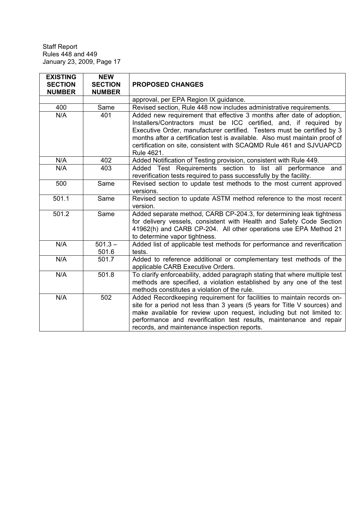| <b>EXISTING</b><br><b>SECTION</b><br><b>NUMBER</b> | <b>NEW</b><br><b>SECTION</b><br><b>NUMBER</b> | <b>PROPOSED CHANGES</b>                                                                                                                                                                                                                                                                                                                                                                   |
|----------------------------------------------------|-----------------------------------------------|-------------------------------------------------------------------------------------------------------------------------------------------------------------------------------------------------------------------------------------------------------------------------------------------------------------------------------------------------------------------------------------------|
|                                                    |                                               | approval, per EPA Region IX guidance.                                                                                                                                                                                                                                                                                                                                                     |
| 400                                                | Same                                          | Revised section, Rule 448 now includes administrative requirements.                                                                                                                                                                                                                                                                                                                       |
| N/A                                                | 401                                           | Added new requirement that effective 3 months after date of adoption,<br>Installers/Contractors must be ICC certified, and, if required by<br>Executive Order, manufacturer certified. Testers must be certified by 3<br>months after a certification test is available. Also must maintain proof of<br>certification on site, consistent with SCAQMD Rule 461 and SJVUAPCD<br>Rule 4621. |
| N/A                                                | 402                                           | Added Notification of Testing provision, consistent with Rule 449.                                                                                                                                                                                                                                                                                                                        |
| N/A                                                | 403                                           | Added Test Requirements section to list all performance and<br>reverification tests required to pass successfully by the facility.                                                                                                                                                                                                                                                        |
| 500                                                | Same                                          | Revised section to update test methods to the most current approved<br>versions.                                                                                                                                                                                                                                                                                                          |
| 501.1                                              | Same                                          | Revised section to update ASTM method reference to the most recent<br>version.                                                                                                                                                                                                                                                                                                            |
| 501.2                                              | Same                                          | Added separate method, CARB CP-204.3, for determining leak tightness<br>for delivery vessels, consistent with Health and Safety Code Section<br>41962(h) and CARB CP-204. All other operations use EPA Method 21<br>to determine vapor tightness.                                                                                                                                         |
| N/A                                                | $501.3 -$<br>501.6                            | Added list of applicable test methods for performance and reverification<br>tests.                                                                                                                                                                                                                                                                                                        |
| N/A                                                | 501.7                                         | Added to reference additional or complementary test methods of the<br>applicable CARB Executive Orders.                                                                                                                                                                                                                                                                                   |
| N/A                                                | 501.8                                         | To clarify enforceability, added paragraph stating that where multiple test<br>methods are specified, a violation established by any one of the test<br>methods constitutes a violation of the rule.                                                                                                                                                                                      |
| N/A                                                | 502                                           | Added Recordkeeping requirement for facilities to maintain records on-<br>site for a period not less than 3 years (5 years for Title V sources) and<br>make available for review upon request, including but not limited to:<br>performance and reverification test results, maintenance and repair<br>records, and maintenance inspection reports.                                       |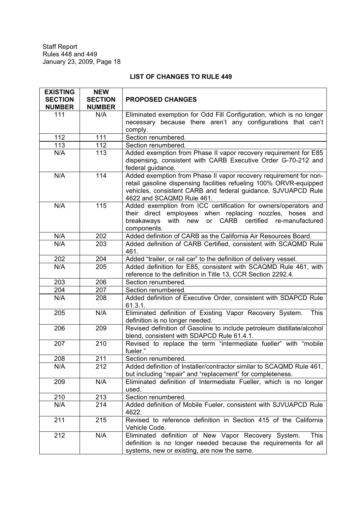## **LIST OF CHANGES TO RULE 449**

| <b>EXISTING</b> | <b>NEW</b>       |                                                                        |
|-----------------|------------------|------------------------------------------------------------------------|
| <b>SECTION</b>  | <b>SECTION</b>   | <b>PROPOSED CHANGES</b>                                                |
| <b>NUMBER</b>   | <b>NUMBER</b>    |                                                                        |
| 111             | N/A              | Eliminated exemption for Odd Fill Configuration, which is no longer    |
|                 |                  | necessary because there aren't any configurations that can't           |
|                 |                  | comply.                                                                |
| 112             | 111              | Section renumbered.                                                    |
| 113             | 112              | Section renumbered.                                                    |
| N/A             | 113              | Added exemption from Phase II vapor recovery requirement for E85       |
|                 |                  | dispensing, consistent with CARB Executive Order G-70-212 and          |
|                 |                  | federal guidance.                                                      |
| N/A             | 114              | Added exemption from Phase II vapor recovery requirement for non-      |
|                 |                  | retail gasoline dispensing facilities refueling 100% ORVR-equipped     |
|                 |                  | vehicles, consistent CARB and federal guidance, SJVUAPCD Rule          |
|                 |                  | 4622 and SCAQMD Rule 461.                                              |
| N/A             | $\overline{1}15$ | Added exemption from ICC certification for owners/operators and        |
|                 |                  | their direct employees when replacing nozzles, hoses and               |
|                 |                  | with new<br>or CARB certified<br>breakaways<br>re-manufactured         |
|                 |                  | components.                                                            |
| N/A             | 202              | Added definition of CARB as the California Air Resources Board.        |
| N/A             | 203              | Added definition of CARB Certified, consistent with SCAQMD Rule        |
|                 |                  | 461.                                                                   |
| 202             | 204              | Added "trailer, or rail car" to the definition of delivery vessel.     |
| N/A             | 205              | Added definition for E85, consistent with SCAQMD Rule 461, with        |
|                 |                  | reference to the definition in Title 13, CCR Section 2292.4.           |
| 203             | 206              | Section renumbered.                                                    |
| 204             | 207              | Section renumbered.                                                    |
| N/A             | 208              | Added definition of Executive Order, consistent with SDAPCD Rule       |
|                 |                  | 61.3.1.                                                                |
| 205             | N/A              | Eliminated definition of Existing Vapor Recovery System.<br>This       |
|                 |                  | definition is no longer needed.                                        |
| 206             | 209              | Revised definition of Gasoline to include petroleum distillate/alcohol |
|                 |                  | blend, consistent with SDAPCD Rule 61.4.1.                             |
| 207             | 210              | Revised to replace the term "intermediate fueller" with "mobile        |
|                 |                  | fueler."                                                               |
| 208             | 211              | Section renumbered.                                                    |
| N/A             | 212              | Added definition of Installer/contractor similar to SCAQMD Rule 461,   |
|                 |                  | but including "repair" and "replacement" for completeness.             |
| 209             | N/A              | Eliminated definition of Intermediate Fueller, which is no longer      |
|                 |                  | used.                                                                  |
| 210             | 213              | Section renumbered.                                                    |
| N/A             | 214              | Added definition of Mobile Fueler, consistent with SJVUAPCD Rule       |
|                 |                  | 4622.                                                                  |
| 211             | 215              | Revised to reference definition in Section 415 of the California       |
|                 |                  | Vehicle Code.                                                          |
| 212             | N/A              | Eliminated definition of New Vapor Recovery System.<br><b>This</b>     |
|                 |                  | definition is no longer needed because the requirements for all        |
|                 |                  | systems, new or existing, are now the same.                            |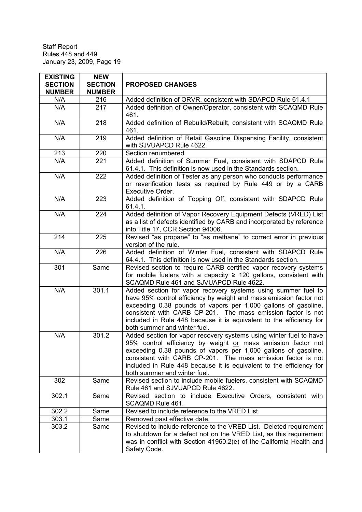| <b>EXISTING</b><br><b>SECTION</b><br><b>NUMBER</b> | <b>NEW</b><br><b>SECTION</b><br><b>NUMBER</b> | <b>PROPOSED CHANGES</b>                                                                                                                                                                                                                                                                                                                                                      |
|----------------------------------------------------|-----------------------------------------------|------------------------------------------------------------------------------------------------------------------------------------------------------------------------------------------------------------------------------------------------------------------------------------------------------------------------------------------------------------------------------|
| N/A                                                | 216                                           | Added definition of ORVR, consistent with SDAPCD Rule 61.4.1                                                                                                                                                                                                                                                                                                                 |
| N/A                                                | 217                                           | Added definition of Owner/Operator, consistent with SCAQMD Rule<br>461.                                                                                                                                                                                                                                                                                                      |
| N/A                                                | 218                                           | Added definition of Rebuild/Rebuilt, consistent with SCAQMD Rule<br>461.                                                                                                                                                                                                                                                                                                     |
| N/A                                                | 219                                           | Added definition of Retail Gasoline Dispensing Facility, consistent<br>with SJVUAPCD Rule 4622.                                                                                                                                                                                                                                                                              |
| 213                                                | 220                                           | Section renumbered.                                                                                                                                                                                                                                                                                                                                                          |
| N/A                                                | 221                                           | Added definition of Summer Fuel, consistent with SDAPCD Rule<br>61.4.1. This definition is now used in the Standards section.                                                                                                                                                                                                                                                |
| N/A                                                | 222                                           | Added definition of Tester as any person who conducts performance<br>or reverification tests as required by Rule 449 or by a CARB<br>Executive Order.                                                                                                                                                                                                                        |
| N/A                                                | 223                                           | Added definition of Topping Off, consistent with SDAPCD Rule<br>61.4.1.                                                                                                                                                                                                                                                                                                      |
| N/A                                                | 224                                           | Added definition of Vapor Recovery Equipment Defects (VRED) List<br>as a list of defects identified by CARB and incorporated by reference<br>into Title 17, CCR Section 94006.                                                                                                                                                                                               |
| 214                                                | $\overline{225}$                              | Revised "as propane" to "as methane" to correct error in previous<br>version of the rule.                                                                                                                                                                                                                                                                                    |
| N/A                                                | 226                                           | Added definition of Winter Fuel, consistent with SDAPCD Rule<br>64.4.1. This definition is now used in the Standards section.                                                                                                                                                                                                                                                |
| 301                                                | Same                                          | Revised section to require CARB certified vapor recovery systems<br>for mobile fuelers with a capacity $\geq$ 120 gallons, consistent with<br>SCAQMD Rule 461 and SJVUAPCD Rule 4622.                                                                                                                                                                                        |
| N/A                                                | 301.1                                         | Added section for vapor recovery systems using summer fuel to<br>have 95% control efficiency by weight and mass emission factor not<br>exceeding 0.38 pounds of vapors per 1,000 gallons of gasoline,<br>consistent with CARB CP-201. The mass emission factor is not<br>included in Rule 448 because it is equivalent to the efficiency for<br>both summer and winter fuel. |
| N/A                                                | 301.2                                         | Added section for vapor recovery systems using winter fuel to have<br>95% control efficiency by weight or mass emission factor not<br>exceeding 0.38 pounds of vapors per 1,000 gallons of gasoline,<br>consistent with CARB CP-201. The mass emission factor is not<br>included in Rule 448 because it is equivalent to the efficiency for<br>both summer and winter fuel.  |
| 302                                                | Same                                          | Revised section to include mobile fuelers, consistent with SCAQMD<br>Rule 461 and SJVUAPCD Rule 4622.                                                                                                                                                                                                                                                                        |
| 302.1                                              | Same                                          | Revised section to include Executive Orders, consistent with<br>SCAQMD Rule 461.                                                                                                                                                                                                                                                                                             |
| 302.2                                              | Same                                          | Revised to include reference to the VRED List.                                                                                                                                                                                                                                                                                                                               |
| 303.1                                              | Same                                          | Removed past effective date.                                                                                                                                                                                                                                                                                                                                                 |
| 303.2                                              | Same                                          | Revised to include reference to the VRED List. Deleted requirement<br>to shutdown for a defect not on the VRED List, as this requirement<br>was in conflict with Section 41960.2(e) of the California Health and<br>Safety Code.                                                                                                                                             |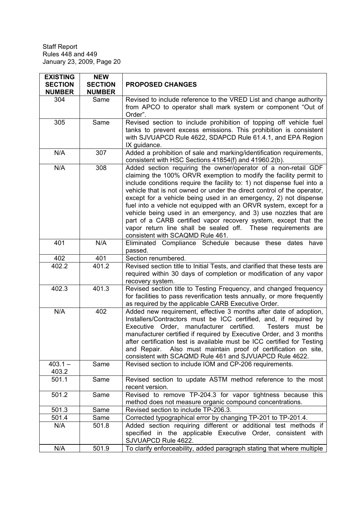| <b>EXISTING</b><br><b>SECTION</b><br><b>NUMBER</b> | <b>NEW</b><br><b>SECTION</b><br><b>NUMBER</b> | <b>PROPOSED CHANGES</b>                                                                                                                                                                                                                                                                                                                                                                                                                                                                                                                                                                                                                                                       |  |  |
|----------------------------------------------------|-----------------------------------------------|-------------------------------------------------------------------------------------------------------------------------------------------------------------------------------------------------------------------------------------------------------------------------------------------------------------------------------------------------------------------------------------------------------------------------------------------------------------------------------------------------------------------------------------------------------------------------------------------------------------------------------------------------------------------------------|--|--|
| 304                                                | Same                                          | Revised to include reference to the VRED List and change authority<br>from APCO to operator shall mark system or component "Out of<br>Order".                                                                                                                                                                                                                                                                                                                                                                                                                                                                                                                                 |  |  |
| 305                                                | Same                                          | Revised section to include prohibition of topping off vehicle fuel<br>tanks to prevent excess emissions. This prohibition is consistent<br>with SJVUAPCD Rule 4622, SDAPCD Rule 61.4.1, and EPA Region<br>IX guidance.                                                                                                                                                                                                                                                                                                                                                                                                                                                        |  |  |
| N/A                                                | 307                                           | Added a prohibition of sale and marking/identification requirements,<br>consistent with HSC Sections 41854(f) and 41960.2(b).                                                                                                                                                                                                                                                                                                                                                                                                                                                                                                                                                 |  |  |
| N/A                                                | 308                                           | Added section requiring the owner/operator of a non-retail GDF<br>claiming the 100% ORVR exemption to modify the facility permit to<br>include conditions require the facility to: 1) not dispense fuel into a<br>vehicle that is not owned or under the direct control of the operator,<br>except for a vehicle being used in an emergency, 2) not dispense<br>fuel into a vehicle not equipped with an ORVR system, except for a<br>vehicle being used in an emergency, and 3) use nozzles that are<br>part of a CARB certified vapor recovery system, except that the<br>vapor return line shall be sealed off. These requirements are<br>consistent with SCAQMD Rule 461. |  |  |
| 401                                                | N/A                                           | Eliminated Compliance Schedule because these dates<br>have<br>passed.                                                                                                                                                                                                                                                                                                                                                                                                                                                                                                                                                                                                         |  |  |
| 402                                                | 401                                           | Section renumbered.                                                                                                                                                                                                                                                                                                                                                                                                                                                                                                                                                                                                                                                           |  |  |
| 402.2                                              | 401.2                                         | Revised section title to Initial Tests, and clarified that these tests are<br>required within 30 days of completion or modification of any vapor<br>recovery system.                                                                                                                                                                                                                                                                                                                                                                                                                                                                                                          |  |  |
| 402.3                                              | 401.3                                         | Revised section title to Testing Frequency, and changed frequency<br>for facilities to pass reverification tests annually, or more frequently<br>as required by the applicable CARB Executive Order.                                                                                                                                                                                                                                                                                                                                                                                                                                                                          |  |  |
| N/A                                                | 402                                           | Added new requirement, effective 3 months after date of adoption,<br>Installers/Contractors must be ICC certified, and, if required by<br>Testers must be<br>Executive Order, manufacturer certified.<br>manufacturer certified if required by Executive Order, and 3 months<br>after certification test is available must be ICC certified for Testing<br>and Repair. Also must maintain proof of certification on site,<br>consistent with SCAQMD Rule 461 and SJVUAPCD Rule 4622.                                                                                                                                                                                          |  |  |
| $403.1 -$<br>403.2                                 | Same                                          | Revised section to include IOM and CP-206 requirements.                                                                                                                                                                                                                                                                                                                                                                                                                                                                                                                                                                                                                       |  |  |
| 501.1                                              | Same                                          | Revised section to update ASTM method reference to the most<br>recent version.                                                                                                                                                                                                                                                                                                                                                                                                                                                                                                                                                                                                |  |  |
| 501.2                                              | Same                                          | Revised to remove TP-204.3 for vapor tightness because this<br>method does not measure organic compound concentrations.                                                                                                                                                                                                                                                                                                                                                                                                                                                                                                                                                       |  |  |
| 501.3                                              | Same                                          | Revised section to include TP-206.3.                                                                                                                                                                                                                                                                                                                                                                                                                                                                                                                                                                                                                                          |  |  |
| 501.4                                              | Same                                          | Corrected typographical error by changing TP-201 to TP-201.4.                                                                                                                                                                                                                                                                                                                                                                                                                                                                                                                                                                                                                 |  |  |
| N/A                                                | 501.8                                         | Added section requiring different or additional test methods if<br>specified in the applicable Executive Order, consistent with<br>SJVUAPCD Rule 4622.                                                                                                                                                                                                                                                                                                                                                                                                                                                                                                                        |  |  |
| N/A                                                | 501.9                                         | To clarify enforceability, added paragraph stating that where multiple                                                                                                                                                                                                                                                                                                                                                                                                                                                                                                                                                                                                        |  |  |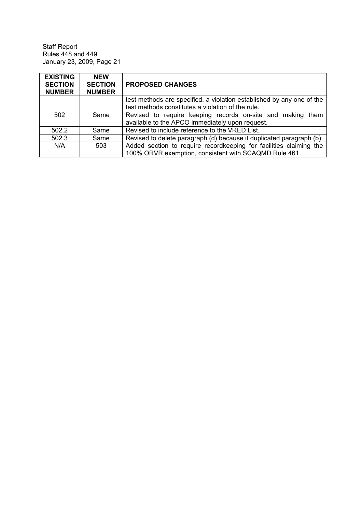| <b>EXISTING</b><br><b>SECTION</b><br><b>NUMBER</b> | <b>NEW</b><br><b>SECTION</b><br><b>NUMBER</b> | <b>PROPOSED CHANGES</b>                                               |
|----------------------------------------------------|-----------------------------------------------|-----------------------------------------------------------------------|
|                                                    |                                               | test methods are specified, a violation established by any one of the |
|                                                    |                                               | test methods constitutes a violation of the rule.                     |
| 502                                                | Same                                          | Revised to require keeping records on-site and making them            |
|                                                    |                                               | available to the APCO immediately upon request.                       |
| 502.2                                              | Same                                          | Revised to include reference to the VRED List.                        |
| 502.3                                              | Same                                          | Revised to delete paragraph (d) because it duplicated paragraph (b).  |
| N/A                                                | 503                                           | Added section to require recordkeeping for facilities claiming the    |
|                                                    |                                               | 100% ORVR exemption, consistent with SCAQMD Rule 461.                 |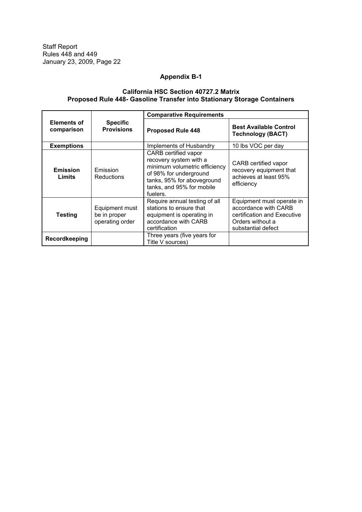## **Appendix B-1**

#### **California HSC Section 40727.2 Matrix Proposed Rule 448- Gasoline Transfer into Stationary Storage Containers**

|                                  | <b>Specific</b><br><b>Provisions</b>              | <b>Comparative Requirements</b>                                                                                                                                                  |                                                                                                                            |  |
|----------------------------------|---------------------------------------------------|----------------------------------------------------------------------------------------------------------------------------------------------------------------------------------|----------------------------------------------------------------------------------------------------------------------------|--|
| <b>Elements of</b><br>comparison |                                                   | <b>Proposed Rule 448</b>                                                                                                                                                         | <b>Best Available Control</b><br><b>Technology (BACT)</b>                                                                  |  |
| <b>Exemptions</b>                |                                                   | Implements of Husbandry                                                                                                                                                          | 10 lbs VOC per day                                                                                                         |  |
| <b>Emission</b><br>Limits        | Emission<br><b>Reductions</b>                     | CARB certified vapor<br>recovery system with a<br>minimum volumetric efficiency<br>of 98% for underground<br>tanks, 95% for aboveground<br>tanks, and 95% for mobile<br>fuelers. | CARB certified vapor<br>recovery equipment that<br>achieves at least 95%<br>efficiency                                     |  |
| <b>Testing</b>                   | Equipment must<br>be in proper<br>operating order | Require annual testing of all<br>stations to ensure that<br>equipment is operating in<br>accordance with CARB<br>certification                                                   | Equipment must operate in<br>accordance with CARB<br>certification and Executive<br>Orders without a<br>substantial defect |  |
| Recordkeeping                    |                                                   | Three years (five years for<br>Title V sources)                                                                                                                                  |                                                                                                                            |  |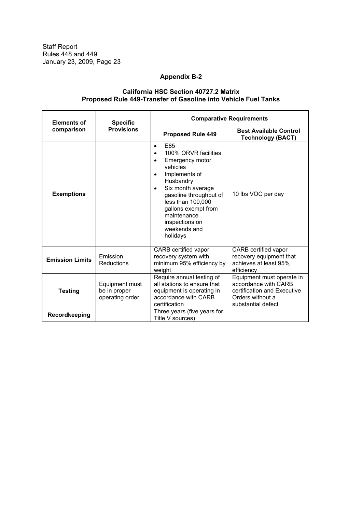## **Appendix B-2**

## **California HSC Section 40727.2 Matrix Proposed Rule 449-Transfer of Gasoline into Vehicle Fuel Tanks**

| <b>Elements of</b>     | <b>Specific</b>                                   | <b>Comparative Requirements</b>                                                                                                                                                                                                                                                                                   |                                                                                                                            |  |  |
|------------------------|---------------------------------------------------|-------------------------------------------------------------------------------------------------------------------------------------------------------------------------------------------------------------------------------------------------------------------------------------------------------------------|----------------------------------------------------------------------------------------------------------------------------|--|--|
| comparison             | <b>Provisions</b>                                 | <b>Proposed Rule 449</b>                                                                                                                                                                                                                                                                                          | <b>Best Available Control</b><br><b>Technology (BACT)</b>                                                                  |  |  |
| <b>Exemptions</b>      |                                                   | F85<br>$\bullet$<br>100% ORVR facilities<br>$\bullet$<br>Emergency motor<br>$\bullet$<br>vehicles<br>Implements of<br>$\bullet$<br>Husbandry<br>Six month average<br>$\bullet$<br>gasoline throughput of<br>less than 100,000<br>gallons exempt from<br>maintenance<br>inspections on<br>weekends and<br>holidays | 10 lbs VOC per day                                                                                                         |  |  |
| <b>Emission Limits</b> | Emission<br>Reductions                            | CARB certified vapor<br>recovery system with<br>minimum 95% efficiency by<br>weight                                                                                                                                                                                                                               | CARB certified vapor<br>recovery equipment that<br>achieves at least 95%<br>efficiency                                     |  |  |
| <b>Testing</b>         | Equipment must<br>be in proper<br>operating order | Require annual testing of<br>all stations to ensure that<br>equipment is operating in<br>accordance with CARB<br>certification                                                                                                                                                                                    | Equipment must operate in<br>accordance with CARB<br>certification and Executive<br>Orders without a<br>substantial defect |  |  |
| Recordkeeping          |                                                   | Three years (five years for<br>Title V sources)                                                                                                                                                                                                                                                                   |                                                                                                                            |  |  |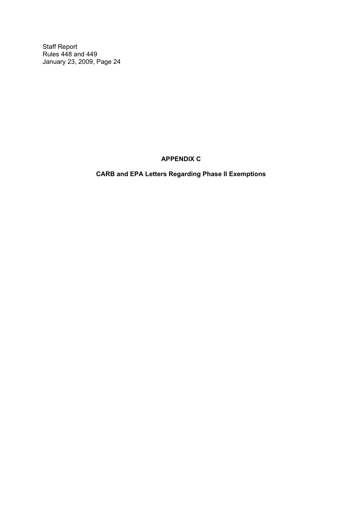**APPENDIX C**

**CARB and EPA Letters Regarding Phase II Exemptions**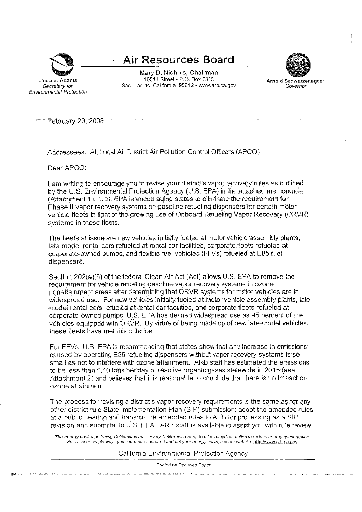

Linda S. Adams

Secretary for

**Environmental Protection** 

**Air Resources Board** 

Mary D. Nichols, Chairman 1001 | Street • P.O. Box 2815 Sacramento, California 95812 · www.arb.ca.gov



February 20, 2008

Addressees: All Local Air District Air Pollution Control Officers (APCO)

Dear APCO:

**The complete three property of the complete complete three complete than the complete three complete three complete three complete three complete three complete three complete three complete three complete three complete** 

I am writing to encourage you to revise your district's vapor recovery rules as outlined by the U.S. Environmental Protection Agency (U.S. EPA) in the attached memoranda (Attachment 1). U.S. EPA is encouraging states to eliminate the requirement for Phase II vapor recovery systems on gasoline refueling dispensers for certain motor vehicle fleets in light of the growing use of Onboard Refueling Vapor Recovery (ORVR) systems in those fleets.

The fleets at issue are new vehicles initially fueled at motor vehicle assembly plants, late model rental cars refueled at rental car facilities, corporate fleets refueled at corporate-owned pumps, and flexible fuel vehicles (FFVs) refueled at E85 fuel dispensers.

Section 202(a)(6) of the federal Clean Air Act (Act) allows U.S. EPA to remove the requirement for vehicle refueling gasoline vapor recovery systems in ozone nonattainment areas after determining that ORVR systems for motor vehicles are in widespread use. For new vehicles initially fueled at motor vehicle assembly plants, late model rental cars refueled at rental car facilities, and corporate fleets refueled at corporate-owned pumps, U.S. EPA has defined widespread use as 95 percent of the vehicles equipped with ORVR. By virtue of being made up of new late-model vehicles, these fleets have met this criterion.

For FFVs, U.S. EPA is recommending that states show that any increase in emissions caused by operating E85 refueling dispensers without vapor recovery systems is so small as not to interfere with ozone attainment. ARB staff has estimated the emissions to be less than 0.10 tons per day of reactive organic gases statewide in 2015 (see Attachment 2) and believes that it is reasonable to conclude that there is no impact on ozone attainment.

The process for revising a district's vapor recovery requirements is the same as for any other district rule State Implementation Plan (SIP) submission: adopt the amended rules at a public hearing and transmit the amended rules to ARB for processing as a SIP revision and submittal to U.S. EPA. ARB staff is available to assist you with rule review

The energy challenge facing California is real. Every Californian needs to take immediate action to reduce energy consumption. For a list of simple ways you can reduce demand and cut your energy costs, see our website: http://www.arb.ca.gov.

#### California Environmental Protection Agency

Printed on Recycled Paper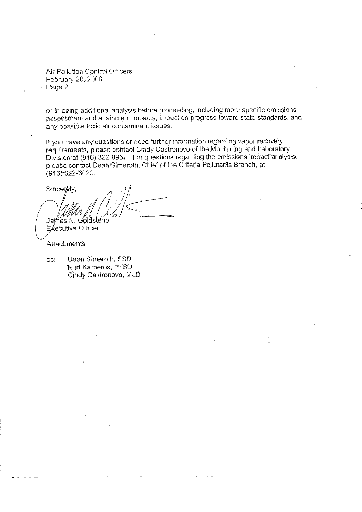**Air Pollution Control Officers** February 20, 2008 Page 2

or in doing additional analysis before proceeding, including more specific emissions assessment and attainment impacts, impact on progress toward state standards, and any possible toxic air contaminant issues.

If you have any questions or need further information regarding vapor recovery requirements, please contact Cindy Castronovo of the Monitoring and Laboratory Division at (916)-322-8957. For questions regarding the emissions impact analysis, please contact Dean Simeroth, Chief of the Criteria Pollutants Branch, at  $(916)$  322-6020.

Sincerely, James N. Goldstene **Executive Officer** 

Attachments

Dean Simeroth, SSD CC. Kurt Karperos, PTSD Cindy Castronovo, MLD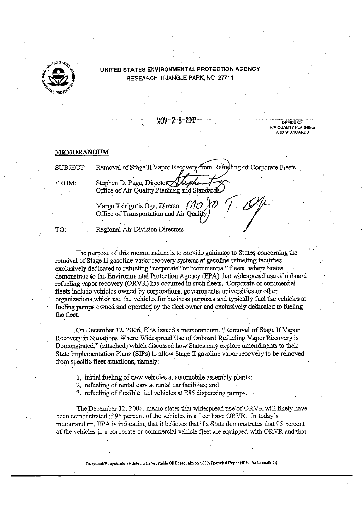

## UNITED STATES ENVIRONMENTAL PROTECTION AGENCY RESEARCH TRIANGLE PARK, NC 27711

NOV 2-8-2007

Removal of Stage II Vapor Recovery from Refudling of Corporate Fleets

**DEFICE OF** AID OLIM ITY PLANNING AND STANDARDS

#### **MEMORANDUM**

**SUBJECT:** 

FROM:

Stephen D. Page. Director Office of Air Ouality Planning and Standards

Margo Tsirigotis Oge, Director  $\int$ // $\mathcal{O}$ Office of Transportation and Air Quali

TO:

Regional Air Division Directors

The purpose of this memorandum is to provide guidance to States concerning the removal of Stage II gasoline vapor recovery systems at gasoline refueling facilities exclusively dedicated to refueling "corporate" or "commercial" fleets, where States demonstrate to the Environmental Protection Agency (EPA) that widespread use of onboard refueling vapor recovery (ORVR) has occurred in such fleets. Corporate or commercial fleets include vehicles owned by corporations, governments, universities or other organizations which use the vehicles for business purposes and typically fuel the vehicles at fueling pumps owned and operated by the fleet owner and exclusively dedicated to fueling the fleet.

On December 12, 2006, EPA issued a memorandum, "Removal of Stage II Vapor Recovery in Situations Where Widespread Use of Onboard Refueling Vapor Recovery is Demonstrated," (attached) which discussed how States may explore amendments to their State Implementation Plans (SIPs) to allow Stage II gasoline vapor recovery to be removed from specific fleet situations, namely:

1. initial fueling of new vehicles at automobile assembly plants;

2. refueling of rental cars at rental car facilities; and

3. refueling of flexible fuel vehicles at E85 dispensing pumps.

The December 12, 2006, memo states that widespread use of ORVR will likely have been demonstrated if 95 percent of the vehicles in a fleet have ORVR. In today's memorandum, EPA is indicating that it believes that if a State demonstrates that 95 percent of the vehicles in a corporate or commercial vehicle fleet are equipped with ORVR and that

Recycled/Recyclable . Printed with Vegetable Oil Based Jaks on 100% Recycled Paper (40% Postconsumer)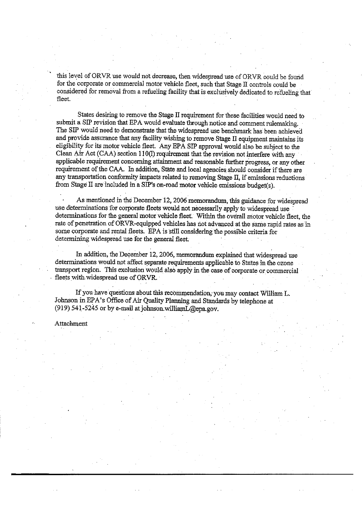this level of ORVR use would not decrease, then widespread use of ORVR could be found for the corporate or commercial motor vehicle fleet, such that Stage II controls could be considered for removal from a refueling facility that is exclusively dedicated to refueling that fleet.

States desiring to remove the Stage II requirement for these facilities would need to submit a SIP revision that EPA would evaluate through notice and comment rulemaking. The SIP would need to demonstrate that the widespread use benchmark has been achieved and provide assurance that any facility wishing to remove Stage II equipment maintains its eligibility for its motor vehicle fleet. Any EPA SIP approval would also be subject to the Clean Air Act (CAA) section 110(I) requirement that the revision not interfere with any applicable requirement concerning attainment and reasonable further progress, or any other requirement of the CAA. In addition. State and local agencies should consider if there are any transportation conformity impacts related to removing Stage II, if emissions reductions from Stage II are included in a SIP's on-road motor vehicle emissions budget(s).

As mentioned in the December 12, 2006 memorandum, this guidance for widespread use determinations for corporate fleets would not necessarily apply to widespread use determinations for the general motor vehicle fleet. Within the overall motor vehicle fleet, the rate of penetration of ORVR-equipped vehicles has not advanced at the same rapid rates as in some corporate and rental fleets. EPA is still considering the possible criteria for determining widespread use for the general fleet.

In addition, the December 12, 2006, memorandum explained that widespread use determinations would not affect separate requirements applicable to States in the ozone transport region. This exclusion would also apply in the case of corporate or commercial fleets with widespread use of ORVR.

If you have questions about this recommendation, you may contact William L. Johnson in EPA's Office of Air Quality Planning and Standards by telephone at (919) 541-5245 or by e-mail at johnson.williamL@epa.gov.

#### Attachment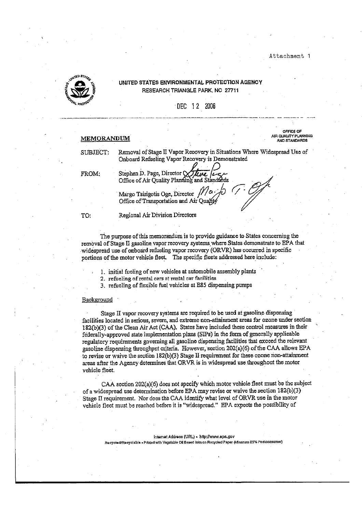

#### UNITED STATES ENVIRONMENTAL PROTECTION AGENCY RESEARCH TRIANGLE PARK, NC 27711

DEC 12 2006

#### **MEMORANDUM**

SUBJECT:

OFFICE OF AIR QUALITY PLANNING AND STANDARDS

Removal of Stage II Vapor Recovery in Situations Where Widespread Use of Onboard Refueling Vapor Recovery is Demonstrated

FROM:

Stephen D. Page, Director Viene Legendon<br>Office of Air Quality Planning and Standards Margo Tsirigotis Oge, Director Office of Transportation and Air Quality

TO:

Regional Air Division Directors

The purpose of this memorandum is to provide guidance to States concerning the removal of Stage II gasoline vapor recovery systems where States demonstrate to EPA that widespread use of onboard refueling vapor recovery (ORVR) has occurred in specific portions of the motor vehicle fleet. The specific fleets addressed here include:

1. initial fueling of new vehicles at automobile assembly plants

2. refueling of rental cars at rental car facilities

3. refueling of flexible fuel vehicles at E85 dispensing pumps

#### Background

Stage II vapor recovery systems are required to be used at gasoline dispensing facilities located in serious, severe, and extreme non-attainment areas for ozone under section 182(b)(3) of the Clean Air Act (CAA). States have included these control measures in their federally-approved state implementation plans (SIPs) in the form of generally applicable regulatory requirements governing all gasoline dispensing facilities that exceed the relevant gasoline dispensing throughput criteria. However, section 202(a)(6) of the CAA allows EPA to revise or waive the section 182(b)(3) Stage II requirement for these ozone non-attainment areas after the Agency determines that ORVR is in widespread use throughout the motor vehicle fleet.

CAA section 202(a)(6) does not specify which motor vehicle fleet must be the subject of a widespread use determination before EPA may revise or waive the section 182(b)(3) Stage II requirement. Nor does the CAA identify what level of ORVR use in the motor vehicle fleet must be reached before it is "widespread." EPA expects the possibility of

Internet Address (URL) - http://www.epa.gov Recycled/Recyclable - Printed with Vegetable Oil Based Inks on Recycled Paper (Minmum 25% Postconsumer)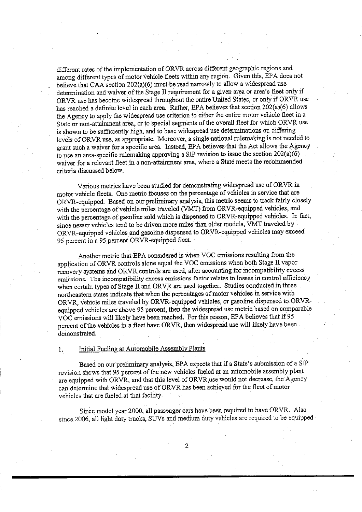different rates of the implementation of ORVR across different geographic regions and among different types of motor vehicle fleets within any region. Given this, EPA does not believe that CAA section 202(a)(6) must be read narrowly to allow a widespread use determination and waiver of the Stage II requirement for a given area or area's fleet only if ORVR use has become widespread throughout the entire United States, or only if ORVR use has reached a definite level in each area. Rather, EPA believes that section 202(a)(6) allows the Agency to apply the widespread use criterion to either the entire motor vehicle fleet in a State or non-attainment area, or to special segments of the overall fleet for which ORVR use is shown to be sufficiently high, and to base widespread use determinations on differing levels of ORVR use, as appropriate. Moreover, a single national rulemaking is not needed to grant such a waiver for a specific area. Instead, EPA believes that the Act allows the Agency to use an area-specific rulemaking approving a SIP revision to issue the section  $202(a)(6)$ waiver for a relevant fleet in a non-attainment area, where a State meets the recommended criteria discussed below.

Various metrics have been studied for demonstrating widespread use of ORVR in motor vehicle fleets. One metric focuses on the percentage of vehicles in service that are ORVR-equipped. Based on our preliminary analysis, this metric seems to track fairly closely with the percentage of vehicle miles traveled (VMT) from ORVR-equipped vehicles, and with the percentage of gasoline sold which is dispensed to ORVR-equipped vehicles. In fact, since newer vehicles tend to be driven more miles than older models, VMT traveled by ORVR-equipped vehicles and gasoline dispensed to ORVR-equipped vehicles may exceed 95 percent in a 95 percent ORVR-equipped fleet.

Another metric that EPA considered is when VOC emissions resulting from the application of ORVR controls alone equal the VOC emissions when both Stage II vapor recovery systems and ORVR controls are used, after accounting for incompatibility excess emissions. The incompatibility excess emissions factor relates to losses in control efficiency when certain types of Stage II and ORVR are used together. Studies conducted in three northeastern states indicate that when the percentages of motor vehicles in service with ORVR, vehicle miles traveled by ORVR-equipped vehicles, or gasoline dispensed to ORVRequipped vehicles are above 95 percent, then the widespread use metric based on comparable VOC emissions will likely have been reached. For this reason, EPA believes that if 95 percent of the vehicles in a fleet have ORVR, then widespread use will likely have been demonstrated.

#### Initial Fueling at Automobile Assembly Plants 1.

Based on our preliminary analysis, EPA expects that if a State's submission of a SIP revision shows that 95 percent of the new vehicles fueled at an automobile assembly plant are equipped with ORVR, and that this level of ORVR use would not decrease, the Agency can determine that widespread use of ORVR has been achieved for the fleet of motor vehicles that are fueled at that facility.

Since model year 2000, all passenger cars have been required to have ORVR. Also since 2006, all light duty trucks, SUVs and medium duty vehicles are required to be equipped

 $\overline{2}$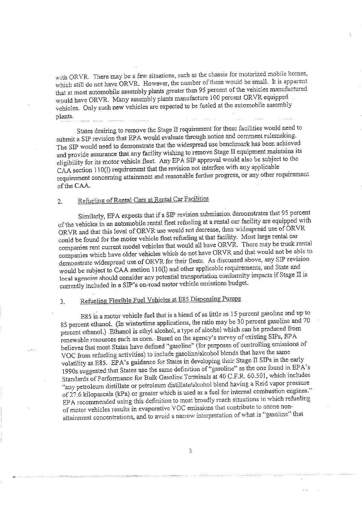with ORVR. There may be a few situations, such as the chassis for motorized mobile homes, which still do not have ORVR. However, the number of these would be small. It is apparent that at most automobile assembly plants greater than 95 percent of the vehicles manufactured would have ORVR. Many assembly plants manufacture 100 percent ORVR equipped vehicles. Only such new vehicles are expected to be fueled at the automobile assembly plants.

States desiring to remove the Stage II requirement for these facilities would need to submit a SIP revision that EPA would evaluate through notice and comment rulemaking. The SIP would need to demonstrate that the widespread use benchmark has been achieved and provide assurance that any facility wishing to remove Stage II equipment maintains its eligibility for its motor vehicle fleet. Any EPA SIP approval would also be subject to the CAA section 110(I) requirement that the revision not interfere with any applicable requirement concerning attainment and reasonable further progress, or any other requirement of the CAA.

#### Refueling of Rental Cars at Rental Car Facilities  $\overline{2}$ .

Similarly, EPA expects that if a SIP revision submission demonstrates that 95 percent of the vehicles in an automobile rental fleet refueling at a rental car facility are equipped with ORVR and that this level of ORVR use would not decrease, then widespread use of ORVR could be found for the motor vehicle fleet refueling at that facility. Most large rental car companies rent current model vehicles that would all have ORVR. There may be truck rental companies which have older vehicles which do not have ORVR and that would not be able to demonstrate widespread use of ORVR for their fleets. As discussed above, any SIP revision would be subject to CAA section 110(l) and other applicable requirements, and State and local agencies should consider any potential transportation conformity impacts if Stage II is currently included in a SIP's on-road motor vehicle emissions budget.

#### Refueling Flexible Fuel Vehicles at E85 Dispensing Pumps  $3.$

E85 is a motor vehicle fuel that is a blend of as little as 15 percent gasoline and up to 85 percent ethanol. (In wintertime applications, the ratio may be 30 percent gasoline and 70 percent ethanol.) Ethanol is ethyl alcohol, a type of alcohol which can be produced from renewable resources such as corn. Based on the agency's survey of existing SIPs, EPA believes that most States have defined "gasoline" (for purposes of controlling emissions of VOC from refueling activities) to include gasoline/alcohol blends that have the same volatility as E85. EPA's guidance for States in developing their Stage II SIPs in the early 1990s suggested that States use the same definition of "gasoline" as the one found in EPA's Standards of Performance for Bulk Gasoline Terminals at 40 C.F.R. 60.501, which includes "any petroleum distillate or petroleum distillate/alcohol blend having a Reid vapor pressure of 27.6 kilopascals (kPa) or greater which is used as a fuel for internal combustion engines." EPA recommended using this definition to most broadly reach situations in which refueling of motor vehicles results in evaporative VOC emissions that contribute to ozone nonattainment concentrations, and to avoid a narrow interpretation of what is "gasoline" that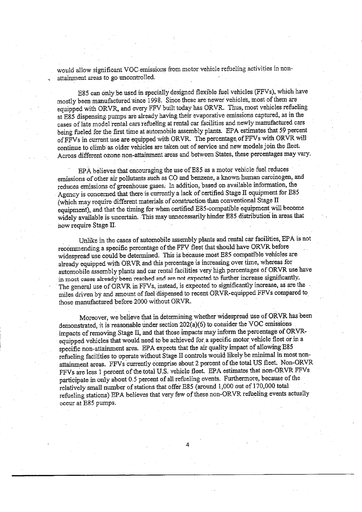would allow significant VOC emissions from motor vehicle refueling activities in nonattainment areas to go uncontrolled.

E85 can only be used in specially designed flexible fuel vehicles (FFVs), which have mostly been manufactured since 1998. Since these are newer vehicles, most of them are equipped with ORVR, and every FFV built today has ORVR. Thus, most vehicles refueling at E85 dispensing pumps are already having their evaporative emissions captured, as in the cases of late model rental cars refueling at rental car facilities and newly manufactured cars being fueled for the first time at automobile assembly plants. EPA estimates that 59 percent of FFVs in current use are equipped with ORVR. The percentage of FFVs with ORVR will continue to climb as older vehicles are taken out of service and new models ioin the fleet. Across different ozone non-attainment areas and between States, these percentages may vary.

EPA believes that encouraging the use of E85 as a motor vehicle fuel reduces emissions of other air pollutants such as CO and benzene, a known human carcinogen, and reduces emissions of greenhouse gases. In addition, based on available information, the Agency is concerned that there is currently a lack of certified Stage II equipment for E85 (which may require different materials of construction than conventional Stage II equipment), and that the timing for when certified E85-compatible equipment will become widely available is uncertain. This may unnecessarily hinder E85 distribution in areas that now require Stage II.

Unlike in the cases of automobile assembly plants and rental car facilities, EPA is not recommending a specific percentage of the FFV fleet that should have ORVR before widespread use could be determined. This is because most E85 compatible vehicles are already equipped with ORVR and this percentage is increasing over time, whereas for automobile assembly plants and car rental facilities very high percentages of ORVR use have in most cases already been reached and are not expected to further increase significantly. The general use of ORVR in FFVs, instead, is expected to significantly increase, as are the miles driven by and amount of fuel dispensed to recent ORVR-equipped FFVs compared to those manufactured before 2000 without ORVR.

Moreover, we believe that in determining whether widespread use of ORVR has been demonstrated, it is reasonable under section 202(a)(6) to consider the VOC emissions impacts of removing Stage II, and that those impacts may inform the percentage of ORVRequipped vehicles that would need to be achieved for a specific motor vehicle fleet or in a specific non-attainment area. EPA expects that the air quality impact of allowing E85 refueling facilities to operate without Stage II controls would likely be minimal in most nonattainment areas. FFVs currently comprise about 2 percent of the total US fleet. Non-ORVR FFVs are less 1 percent of the total U.S. vehicle fleet. EPA estimates that non-ORVR FFVs participate in only about 0.5 percent of all refueling events. Furthermore, because of the relatively small number of stations that offer E85 (around 1,000 out of 170,000 total refueling stations) EPA believes that very few of these non-ORVR refueling events actually occur at E85 pumps.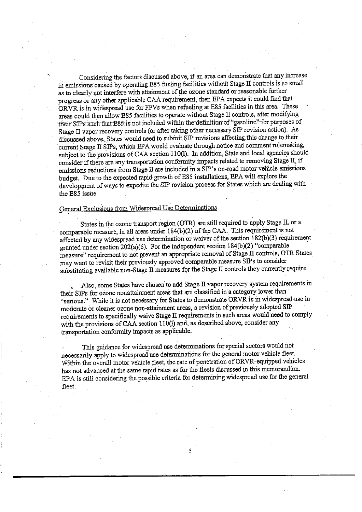Considering the factors discussed above, if an area can demonstrate that any increase in emissions caused by operating E85 fueling facilities without Stage II controls is so small as to clearly not interfere with attainment of the ozone standard or reasonable further progress or any other applicable CAA requirement, then EPA expects it could find that ORVR is in widespread use for FFVs when refueling at E85 facilities in this area. These areas could then allow E85 facilities to operate without Stage II controls, after modifying their SIPs such that E85 is not included within the definition of "gasoline" for purposes of Stage II vapor recovery controls (or after taking other necessary SIP revision action). As discussed above. States would need to submit SIP revisions affecting this change to their current Stage II SIPs, which EPA would evaluate through notice and comment rulemaking, subject to the provisions of CAA section 110(I). In addition, State and local agencies should consider if there are any transportation conformity impacts related to removing Stage II, if emissions reductions from Stage II are included in a SIP's on-road motor vehicle emissions budget. Due to the expected rapid growth of E85 installations, EPA will explore the development of ways to expedite the SIP revision process for States which are dealing with the E85 issue.

### General Exclusions from Widespread Use Determinations

States in the ozone transport region (OTR) are still required to apply Stage II, or a comparable measure, in all areas under 184(b)(2) of the CAA. This requirement is not affected by any widespread use determination or waiver of the section 182(b)(3) requirement granted under section 202(a)(6). For the independent section 184(b)(2) "comparable measure" requirement to not prevent an appropriate removal of Stage II controls, OTR States may want to revisit their previously approved comparable measure SIPs to consider substituting available non-Stage II measures for the Stage II controls they currently require.

Also, some States have chosen to add Stage II vapor recovery system requirements in their SIPs for ozone nonattainment areas that are classified in a category lower than "serious." While it is not necessary for States to demonstrate ORVR is in widespread use in moderate or cleaner ozone non-attainment areas, a revision of previously adopted SIP requirements to specifically waive Stage II requirements in such areas would need to comply with the provisions of CAA section 110(l) and, as described above, consider any transportation conformity impacts as applicable.

This guidance for widespread use determinations for special sectors would not necessarily apply to widespread use determinations for the general motor vehicle fleet. Within the overall motor vehicle fleet, the rate of penetration of ORVR-equipped vehicles has not advanced at the same rapid rates as for the fleets discussed in this memorandum. EPA is still considering the possible criteria for determining widespread use for the general fleet.

5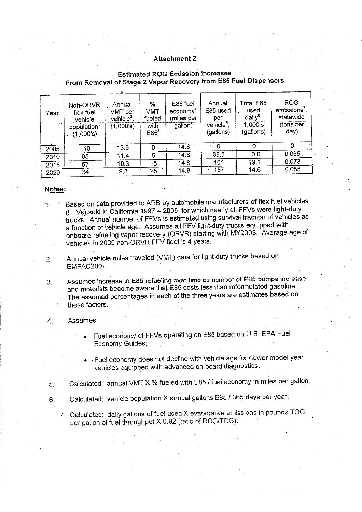### Attachment 2

## **Estimated ROG Emission Increases** From Removal of Stage 2 Vapor Recovery from E85 Fuel Dispensers

| Year | Noh-ORVR<br>flex fuel<br>vehicle | Annual<br>VMT per<br>vehicle <sup>2</sup> | %<br>VMT<br>fueled | E85 fuel<br>economy"<br>(miles per | Annual<br>E85 used<br>per         | Total E85<br>used<br>daily <sup>6</sup> | ROG<br>emission <sup>7</sup><br>statewide |
|------|----------------------------------|-------------------------------------------|--------------------|------------------------------------|-----------------------------------|-----------------------------------------|-------------------------------------------|
|      | population<br>(1.000's)          | (1,000's)                                 | with<br>$E85^3$    | gallon)                            | vehicle <sup>s</sup><br>(gallons) | 1,000s<br>(gallons)                     | (tons per<br>$\langle$ day $\rangle$      |
|      |                                  |                                           |                    |                                    |                                   |                                         |                                           |
| 2005 | 110                              | 13.5                                      |                    | 14.8                               |                                   | 0                                       |                                           |
| 2010 | 95                               | 11,4                                      | 5                  | 14.8                               | 38.5                              | 10.0                                    | 0.035                                     |
| 2015 | 67                               | 10.3 <sup>°</sup>                         | 15                 | 14.8                               | 104                               | 19.1                                    | 0.073                                     |
| 2020 | 34                               | 9.3                                       | 25                 | 14.8                               | 157                               | 14.6                                    | 0.055                                     |

#### Notes:

- Based on data provided to ARB by automobile manufacturers of flex fuel vehicles  $\mathbf{1}$ (FFVs) sold in California 1997 - 2005, for which nearly all FFVs were light-duty trucks. Annual number of FFVs is estimated using survival fraction of vehicles as a function of vehicle age. Assumes all FFV light-duty trucks equipped with onboard refueling vapor recovery (ORVR) starting with MY2003. Average age of vehicles in 2005 non-ORVR FFV fleet is 4 years.
- Annual vehicle miles traveled (VMT) data for light-duty trucks based on  $2.$ EMFAC2007.

Assumes increase in E85 refueling over time as number of E85 pumps increase 3. and motorists become aware that E85 costs less than reformulated gasoline. The assumed percentages in each of the three years are estimates based on these factors.

#### Assumes: 4.

- Fuel economy of FFVs operating on E85 based on U.S. EPA Fuel Economy Guides;
- Fuel economy does not decline with vehicle age for newer model year vehicles equipped with advanced on-board diagnostics.
- Calculated: annual VMT X % fueled with E85 / fuel economy in miles per gallon.  $5<sub>1</sub>$
- Calculated: vehicle population X annual gallons E85 / 365 days per year. 6.
	- 7. Calculated: daily gallons of fuel used X evaporative emissions in pounds TOG per gallon of fuel throughput X 0.92 (ratio of ROG/TOG).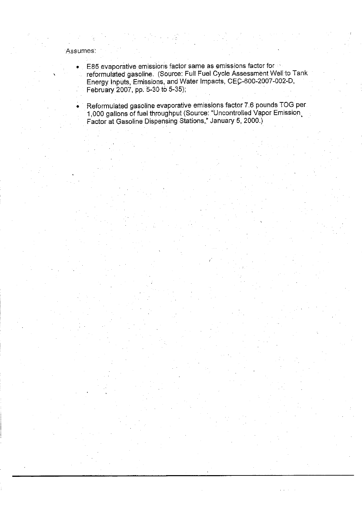## Assumes:

- E85 evaporative emissions factor same as emissions factor for  $\bullet$ reformulated gasoline. (Source: Full Fuel Cycle Assessment Well to Tank Energy Inputs, Emissions, and Water Impacts, CEC-600-2007-002-D, February 2007, pp. 5-30 to 5-35);
	- Reformulated gasoline evaporative emissions factor 7.6 pounds TOG per 1,000 gallons of fuel throughput (Source: "Uncontrolled Vapor Emission Factor at Gasoline Dispensing Stations," January 5, 2000.)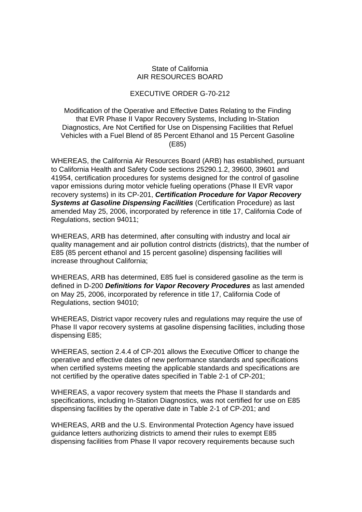## State of California AIR RESOURCES BOARD

## EXECUTIVE ORDER G-70-212

Modification of the Operative and Effective Dates Relating to the Finding that EVR Phase II Vapor Recovery Systems, Including In-Station Diagnostics, Are Not Certified for Use on Dispensing Facilities that Refuel Vehicles with a Fuel Blend of 85 Percent Ethanol and 15 Percent Gasoline (E85)

WHEREAS, the California Air Resources Board (ARB) has established, pursuant to California Health and Safety Code sections 25290.1.2, 39600, 39601 and 41954, certification procedures for systems designed for the control of gasoline vapor emissions during motor vehicle fueling operations (Phase II EVR vapor recovery systems) in its CP-201, *Certification Procedure for Vapor Recovery Systems at Gasoline Dispensing Facilities* (Certification Procedure) as last amended May 25, 2006, incorporated by reference in title 17, California Code of Regulations, section 94011;

WHEREAS, ARB has determined, after consulting with industry and local air quality management and air pollution control districts (districts), that the number of E85 (85 percent ethanol and 15 percent gasoline) dispensing facilities will increase throughout California;

WHEREAS, ARB has determined, E85 fuel is considered gasoline as the term is defined in D-200 *Definitions for Vapor Recovery Procedures* as last amended on May 25, 2006, incorporated by reference in title 17, California Code of Regulations, section 94010;

WHEREAS, District vapor recovery rules and regulations may require the use of Phase II vapor recovery systems at gasoline dispensing facilities, including those dispensing E85;

WHEREAS, section 2.4.4 of CP-201 allows the Executive Officer to change the operative and effective dates of new performance standards and specifications when certified systems meeting the applicable standards and specifications are not certified by the operative dates specified in Table 2-1 of CP-201;

WHEREAS, a vapor recovery system that meets the Phase II standards and specifications, including In-Station Diagnostics, was not certified for use on E85 dispensing facilities by the operative date in Table 2-1 of CP-201; and

WHEREAS, ARB and the U.S. Environmental Protection Agency have issued guidance letters authorizing districts to amend their rules to exempt E85 dispensing facilities from Phase II vapor recovery requirements because such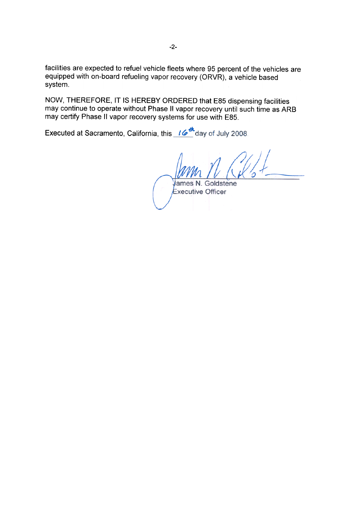facilities are expected to refuel vehicle fleets where 95 percent of the vehicles are equipped with on-board refueling vapor recovery (ORVR), a vehicle based system.

NOW, THEREFORE, IT IS HEREBY ORDERED that E85 dispensing facilities may continue to operate without Phase II vapor recovery until such time as ARB may certify Phase II vapor recovery systems for use with E85.

Executed at Sacramento, California, this 16<sup>th</sup> day of July 2008.

James N. Goldstene Executive Officer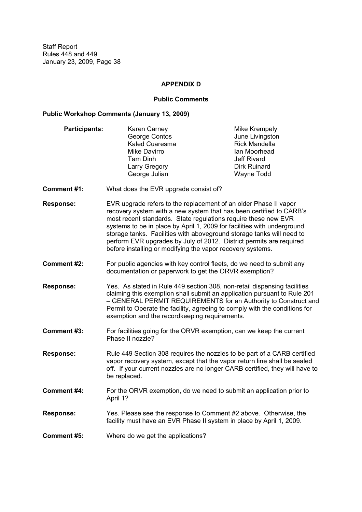#### **APPENDIX D**

#### **Public Comments**

#### **Public Workshop Comments (January 13, 2009)**

- **Participants:** Karen Carney **Mike Krempely** George Contos **George Contos**<br>
Kaled Cuaresma<br>
Kaled Cuaresma Kaled Cuaresma Mike Davirro **International Moothead** Tam Dinh Jeff Rivard Larry Gregory **Dirk Ruinard** George Julian Wayne Todd
- **Comment #1:** What does the EVR upgrade consist of?
- **Response:** EVR upgrade refers to the replacement of an older Phase II vapor recovery system with a new system that has been certified to CARB's most recent standards. State regulations require these new EVR systems to be in place by April 1, 2009 for facilities with underground storage tanks. Facilities with aboveground storage tanks will need to perform EVR upgrades by July of 2012. District permits are required before installing or modifying the vapor recovery systems.
- **Comment #2:** For public agencies with key control fleets, do we need to submit any documentation or paperwork to get the ORVR exemption?
- **Response:** Yes. As stated in Rule 449 section 308, non-retail dispensing facilities claiming this exemption shall submit an application pursuant to Rule 201 GENERAL PERMIT REQUIREMENTS for an Authority to Construct and Permit to Operate the facility, agreeing to comply with the conditions for exemption and the recordkeeping requirements.
- **Comment #3:** For facilities going for the ORVR exemption, can we keep the current Phase II nozzle?
- **Response:** Rule 449 Section 308 requires the nozzles to be part of a CARB certified vapor recovery system, except that the vapor return line shall be sealed off. If your current nozzles are no longer CARB certified, they will have to be replaced.
- **Comment #4:** For the ORVR exemption, do we need to submit an application prior to April 1?
- **Response:** Yes. Please see the response to Comment #2 above. Otherwise, the facility must have an EVR Phase II system in place by April 1, 2009.
- **Comment #5:** Where do we get the applications?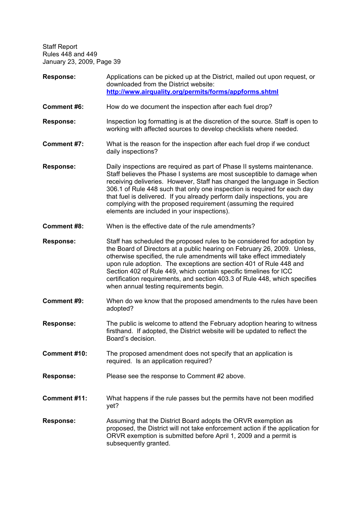| <b>Response:</b>   | Applications can be picked up at the District, mailed out upon request, or<br>downloaded from the District website:<br>http://www.airquality.org/permits/forms/appforms.shtml                                                                                                                                                                                                                                                                                                                           |  |  |  |
|--------------------|---------------------------------------------------------------------------------------------------------------------------------------------------------------------------------------------------------------------------------------------------------------------------------------------------------------------------------------------------------------------------------------------------------------------------------------------------------------------------------------------------------|--|--|--|
| <b>Comment #6:</b> | How do we document the inspection after each fuel drop?                                                                                                                                                                                                                                                                                                                                                                                                                                                 |  |  |  |
| <b>Response:</b>   | Inspection log formatting is at the discretion of the source. Staff is open to<br>working with affected sources to develop checklists where needed.                                                                                                                                                                                                                                                                                                                                                     |  |  |  |
| Comment #7:        | What is the reason for the inspection after each fuel drop if we conduct<br>daily inspections?                                                                                                                                                                                                                                                                                                                                                                                                          |  |  |  |
| <b>Response:</b>   | Daily inspections are required as part of Phase II systems maintenance.<br>Staff believes the Phase I systems are most susceptible to damage when<br>receiving deliveries. However, Staff has changed the language in Section<br>306.1 of Rule 448 such that only one inspection is required for each day<br>that fuel is delivered. If you already perform daily inspections, you are<br>complying with the proposed requirement (assuming the required<br>elements are included in your inspections). |  |  |  |
| <b>Comment #8:</b> | When is the effective date of the rule amendments?                                                                                                                                                                                                                                                                                                                                                                                                                                                      |  |  |  |
| <b>Response:</b>   | Staff has scheduled the proposed rules to be considered for adoption by<br>the Board of Directors at a public hearing on February 26, 2009. Unless,<br>otherwise specified, the rule amendments will take effect immediately<br>upon rule adoption. The exceptions are section 401 of Rule 448 and<br>Section 402 of Rule 449, which contain specific timelines for ICC<br>certification requirements, and section 403.3 of Rule 448, which specifies<br>when annual testing requirements begin.        |  |  |  |
| Comment #9:        | When do we know that the proposed amendments to the rules have been<br>adopted?                                                                                                                                                                                                                                                                                                                                                                                                                         |  |  |  |
| <b>Response:</b>   | The public is welcome to attend the February adoption hearing to witness<br>firsthand. If adopted, the District website will be updated to reflect the<br>Board's decision.                                                                                                                                                                                                                                                                                                                             |  |  |  |
| Comment #10:       | The proposed amendment does not specify that an application is<br>required. Is an application required?                                                                                                                                                                                                                                                                                                                                                                                                 |  |  |  |
| <b>Response:</b>   | Please see the response to Comment #2 above.                                                                                                                                                                                                                                                                                                                                                                                                                                                            |  |  |  |
| Comment #11:       | What happens if the rule passes but the permits have not been modified<br>yet?                                                                                                                                                                                                                                                                                                                                                                                                                          |  |  |  |
| <b>Response:</b>   | Assuming that the District Board adopts the ORVR exemption as<br>proposed, the District will not take enforcement action if the application for<br>ORVR exemption is submitted before April 1, 2009 and a permit is<br>subsequently granted.                                                                                                                                                                                                                                                            |  |  |  |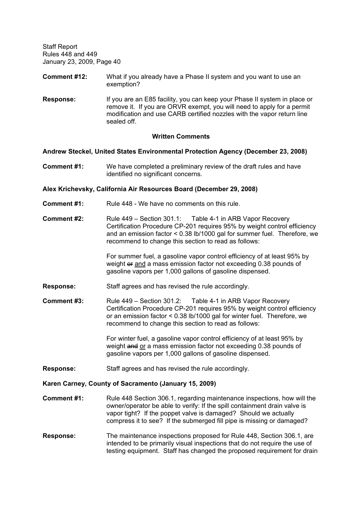- **Comment #12:** What if you already have a Phase II system and you want to use an exemption?
- **Response:** If you are an E85 facility, you can keep your Phase II system in place or remove it. If you are ORVR exempt, you will need to apply for a permit modification and use CARB certified nozzles with the vapor return line sealed off.

#### **Written Comments**

#### **Andrew Steckel, United States Environmental Protection Agency (December 23, 2008)**

**Comment #1:** We have completed a preliminary review of the draft rules and have identified no significant concerns.

#### **Alex Krichevsky, California Air Resources Board (December 29, 2008)**

- **Comment #1:** Rule 448 We have no comments on this rule.
- **Comment #2:** Rule 449 Section 301.1: Table 4-1 in ARB Vapor Recovery Certification Procedure CP-201 requires 95% by weight control efficiency and an emission factor < 0.38 lb/1000 gal for summer fuel. Therefore, we recommend to change this section to read as follows:

For summer fuel, a gasoline vapor control efficiency of at least 95% by weight or and a mass emission factor not exceeding 0.38 pounds of gasoline vapors per 1,000 gallons of gasoline dispensed.

- **Response:** Staff agrees and has revised the rule accordingly.
- **Comment #3:** Rule 449 Section 301.2: Table 4-1 in ARB Vapor Recovery Certification Procedure CP-201 requires 95% by weight control efficiency or an emission factor < 0.38 lb/1000 gal for winter fuel. Therefore, we recommend to change this section to read as follows:

For winter fuel, a gasoline vapor control efficiency of at least 95% by weight and or a mass emission factor not exceeding 0.38 pounds of gasoline vapors per 1,000 gallons of gasoline dispensed.

**Response:** Staff agrees and has revised the rule accordingly.

#### **Karen Carney, County of Sacramento (January 15, 2009)**

- **Comment #1:** Rule 448 Section 306.1, regarding maintenance inspections, how will the owner/operator be able to verify: If the spill containment drain valve is vapor tight? If the poppet valve is damaged? Should we actually compress it to see? If the submerged fill pipe is missing or damaged?
- **Response:** The maintenance inspections proposed for Rule 448, Section 306.1, are intended to be primarily visual inspections that do not require the use of testing equipment. Staff has changed the proposed requirement for drain